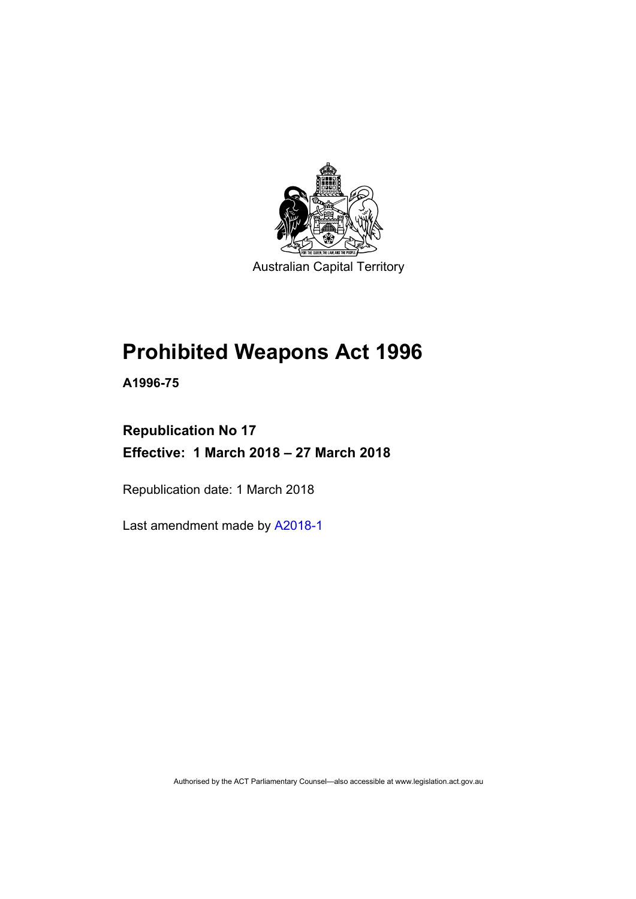

Australian Capital Territory

# **Prohibited Weapons Act 1996**

**A1996-75** 

# **Republication No 17 Effective: 1 March 2018 – 27 March 2018**

Republication date: 1 March 2018

Last amendment made by [A2018-1](http://www.legislation.act.gov.au/a/2018-1/default.asp)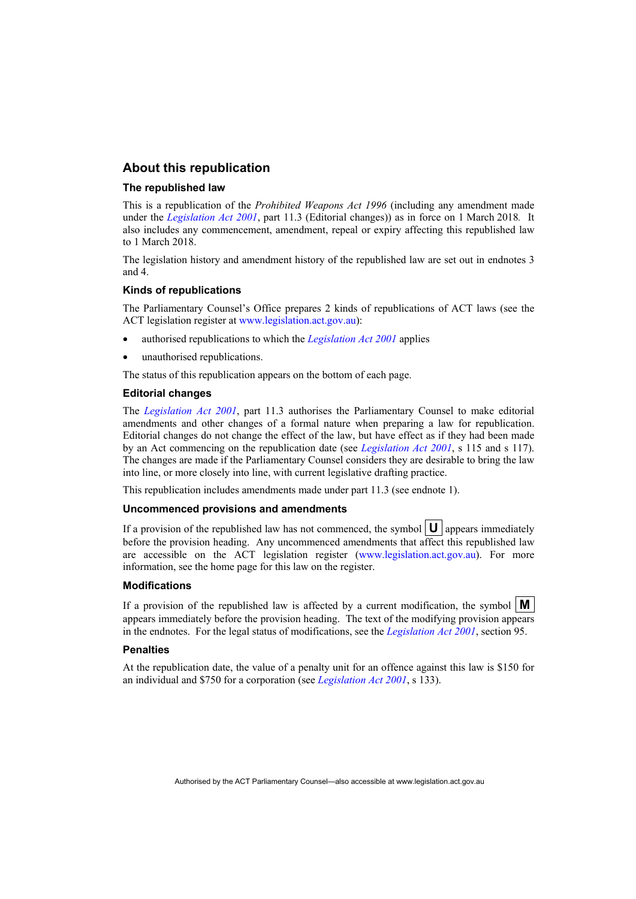## **About this republication**

### **The republished law**

This is a republication of the *Prohibited Weapons Act 1996* (including any amendment made under the *[Legislation Act 2001](http://www.legislation.act.gov.au/a/2001-14)*, part 11.3 (Editorial changes)) as in force on 1 March 2018*.* It also includes any commencement, amendment, repeal or expiry affecting this republished law to 1 March 2018.

The legislation history and amendment history of the republished law are set out in endnotes 3 and 4.

### **Kinds of republications**

The Parliamentary Counsel's Office prepares 2 kinds of republications of ACT laws (see the ACT legislation register at [www.legislation.act.gov.au](http://www.legislation.act.gov.au/)):

- authorised republications to which the *[Legislation Act 2001](http://www.legislation.act.gov.au/a/2001-14)* applies
- unauthorised republications.

The status of this republication appears on the bottom of each page.

#### **Editorial changes**

The *[Legislation Act 2001](http://www.legislation.act.gov.au/a/2001-14)*, part 11.3 authorises the Parliamentary Counsel to make editorial amendments and other changes of a formal nature when preparing a law for republication. Editorial changes do not change the effect of the law, but have effect as if they had been made by an Act commencing on the republication date (see *[Legislation Act 2001](http://www.legislation.act.gov.au/a/2001-14)*, s 115 and s 117). The changes are made if the Parliamentary Counsel considers they are desirable to bring the law into line, or more closely into line, with current legislative drafting practice.

This republication includes amendments made under part 11.3 (see endnote 1).

#### **Uncommenced provisions and amendments**

If a provision of the republished law has not commenced, the symbol  $\mathbf{U}$  appears immediately before the provision heading. Any uncommenced amendments that affect this republished law are accessible on the ACT legislation register [\(www.legislation.act.gov.au\)](http://www.legislation.act.gov.au/). For more information, see the home page for this law on the register.

#### **Modifications**

If a provision of the republished law is affected by a current modification, the symbol  $\mathbf{M}$ appears immediately before the provision heading. The text of the modifying provision appears in the endnotes. For the legal status of modifications, see the *[Legislation Act 2001](http://www.legislation.act.gov.au/a/2001-14)*, section 95.

#### **Penalties**

At the republication date, the value of a penalty unit for an offence against this law is \$150 for an individual and \$750 for a corporation (see *[Legislation Act 2001](http://www.legislation.act.gov.au/a/2001-14)*, s 133).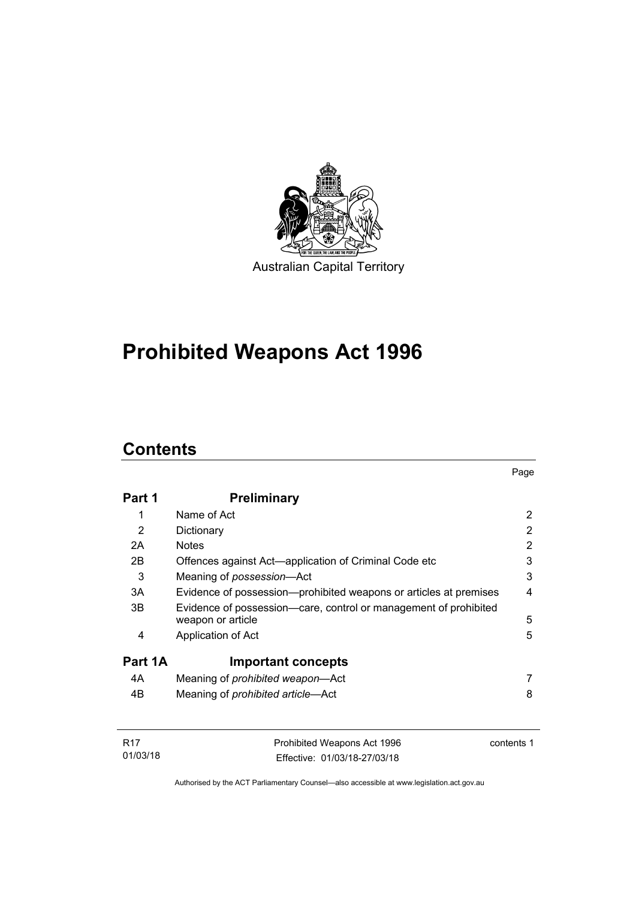

# **Prohibited Weapons Act 1996**

# **Contents**

| Part 1  | <b>Preliminary</b>                                                                    |   |
|---------|---------------------------------------------------------------------------------------|---|
| 1       | Name of Act                                                                           | 2 |
| 2       | Dictionary                                                                            | 2 |
| 2A      | <b>Notes</b>                                                                          | 2 |
| 2B      | Offences against Act—application of Criminal Code etc                                 | 3 |
| 3       | Meaning of possession-Act                                                             | 3 |
| 3A      | Evidence of possession—prohibited weapons or articles at premises                     | 4 |
| 3B      | Evidence of possession—care, control or management of prohibited<br>weapon or article | 5 |
| 4       | Application of Act                                                                    | 5 |
| Part 1A | <b>Important concepts</b>                                                             |   |
| 4A      | Meaning of <i>prohibited</i> weapon—Act                                               |   |
| 4B      | Meaning of prohibited article-Act                                                     | 8 |

| <b>R17</b> | Prohibited Weapons Act 1996  | contents 1 |
|------------|------------------------------|------------|
| 01/03/18   | Effective: 01/03/18-27/03/18 |            |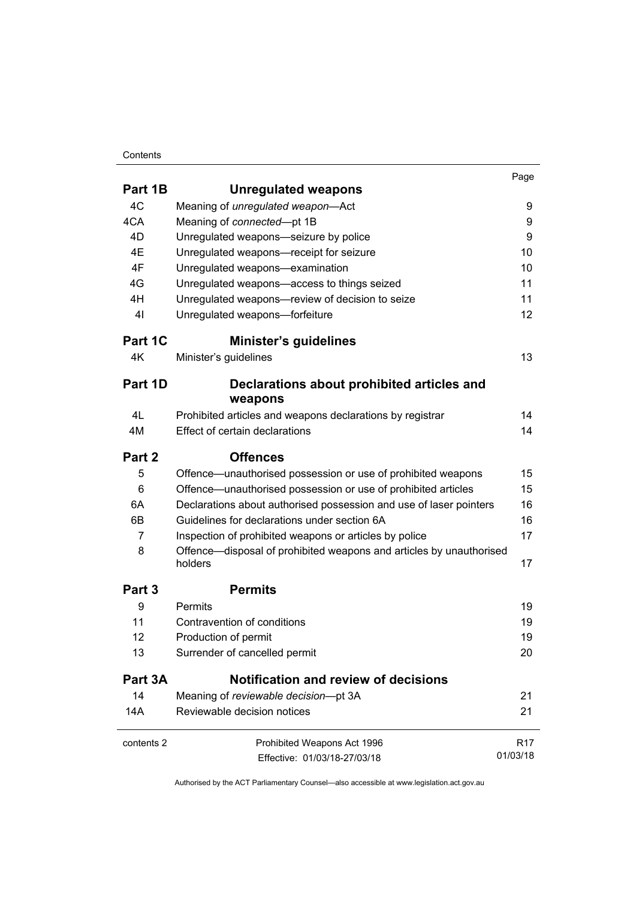### **Contents**

|                |                                                                                | Page            |
|----------------|--------------------------------------------------------------------------------|-----------------|
| Part 1B        | <b>Unregulated weapons</b>                                                     |                 |
| 4C             | Meaning of unregulated weapon-Act                                              | 9               |
| 4CA            | Meaning of connected-pt 1B                                                     | 9               |
| 4D             | Unregulated weapons-seizure by police                                          | 9               |
| 4E             | Unregulated weapons-receipt for seizure                                        | 10              |
| 4F             | Unregulated weapons-examination                                                | 10              |
| 4G             | Unregulated weapons-access to things seized                                    | 11              |
| 4H             | Unregulated weapons-review of decision to seize                                | 11              |
| 4 <sub>l</sub> | Unregulated weapons-forfeiture                                                 | 12              |
| Part 1C        | <b>Minister's guidelines</b>                                                   |                 |
| 4K             | Minister's guidelines                                                          | 13              |
| Part 1D        | Declarations about prohibited articles and                                     |                 |
|                | weapons                                                                        |                 |
| 4L             | Prohibited articles and weapons declarations by registrar                      | 14              |
| 4M             | Effect of certain declarations                                                 | 14              |
| Part 2         | <b>Offences</b>                                                                |                 |
| 5              | Offence—unauthorised possession or use of prohibited weapons                   | 15              |
| 6              | Offence-unauthorised possession or use of prohibited articles                  | 15              |
| 6A             | Declarations about authorised possession and use of laser pointers             | 16              |
| 6B             | Guidelines for declarations under section 6A                                   | 16              |
| 7              | Inspection of prohibited weapons or articles by police                         | 17              |
| 8              | Offence—disposal of prohibited weapons and articles by unauthorised<br>holders | 17              |
| Part 3         | <b>Permits</b>                                                                 |                 |
| 9              | Permits                                                                        | 19              |
| 11             | Contravention of conditions                                                    | 19              |
| 12             | Production of permit                                                           | 19              |
| 13             | Surrender of cancelled permit                                                  | 20              |
| Part 3A        | <b>Notification and review of decisions</b>                                    |                 |
| 14             | Meaning of reviewable decision-pt 3A                                           | 21              |
| 14A            | Reviewable decision notices                                                    | 21              |
| contents 2     | Prohibited Weapons Act 1996                                                    | R <sub>17</sub> |
|                | Effective: 01/03/18-27/03/18                                                   | 01/03/18        |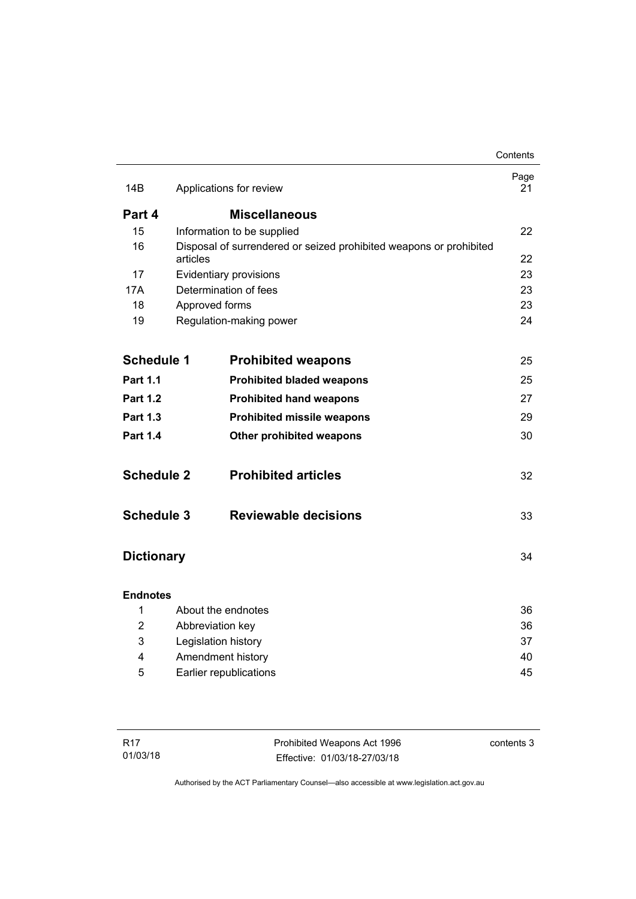|                   |                  |                                                                    | Contents   |
|-------------------|------------------|--------------------------------------------------------------------|------------|
| 14B               |                  | Applications for review                                            | Page<br>21 |
| Part 4            |                  | <b>Miscellaneous</b>                                               |            |
| 15                |                  | Information to be supplied                                         | 22         |
| 16                |                  | Disposal of surrendered or seized prohibited weapons or prohibited |            |
|                   | articles         |                                                                    | 22         |
| 17                |                  | Evidentiary provisions                                             | 23         |
| 17A               |                  | Determination of fees                                              | 23         |
| 18                | Approved forms   |                                                                    | 23         |
| 19                |                  | Regulation-making power                                            | 24         |
|                   |                  |                                                                    |            |
| <b>Schedule 1</b> |                  | <b>Prohibited weapons</b>                                          | 25         |
| <b>Part 1.1</b>   |                  | <b>Prohibited bladed weapons</b>                                   | 25         |
| <b>Part 1.2</b>   |                  | <b>Prohibited hand weapons</b>                                     | 27         |
| <b>Part 1.3</b>   |                  | <b>Prohibited missile weapons</b>                                  | 29         |
| <b>Part 1.4</b>   |                  | Other prohibited weapons                                           | 30         |
| <b>Schedule 2</b> |                  | <b>Prohibited articles</b>                                         | 32         |
| <b>Schedule 3</b> |                  | <b>Reviewable decisions</b>                                        | 33         |
| <b>Dictionary</b> |                  |                                                                    | 34         |
| <b>Endnotes</b>   |                  |                                                                    |            |
| 1                 |                  | About the endnotes                                                 | 36         |
| $\overline{2}$    | Abbreviation key |                                                                    | 36         |
| 3                 |                  | Legislation history                                                | 37         |
| 4                 |                  | Amendment history                                                  | 40         |
| 5                 |                  | Earlier republications                                             | 45         |
|                   |                  |                                                                    |            |

| R17      | Prohibited Weapons Act 1996  | contents 3 |
|----------|------------------------------|------------|
| 01/03/18 | Effective: 01/03/18-27/03/18 |            |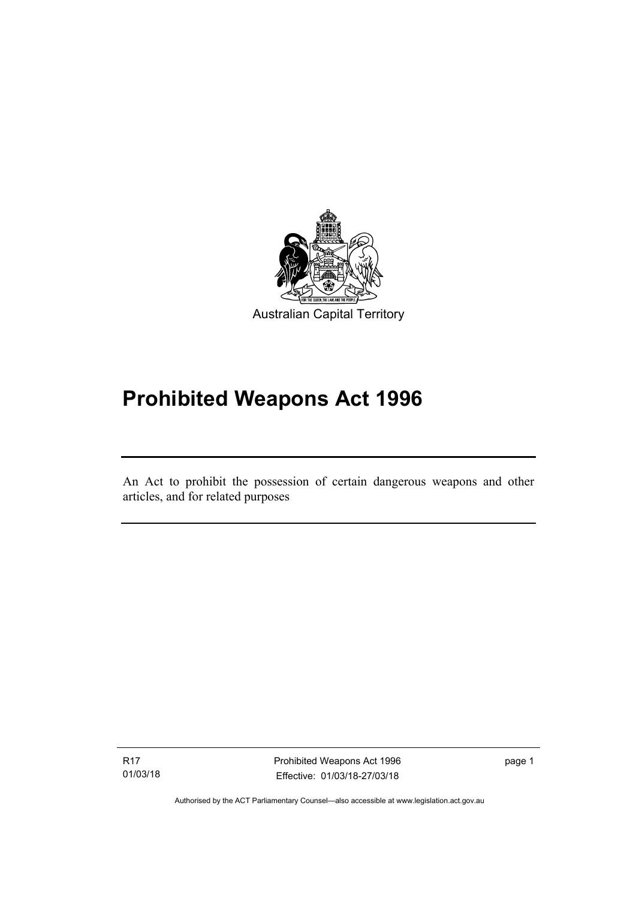

# **Prohibited Weapons Act 1996**

An Act to prohibit the possession of certain dangerous weapons and other articles, and for related purposes

R17 01/03/18

l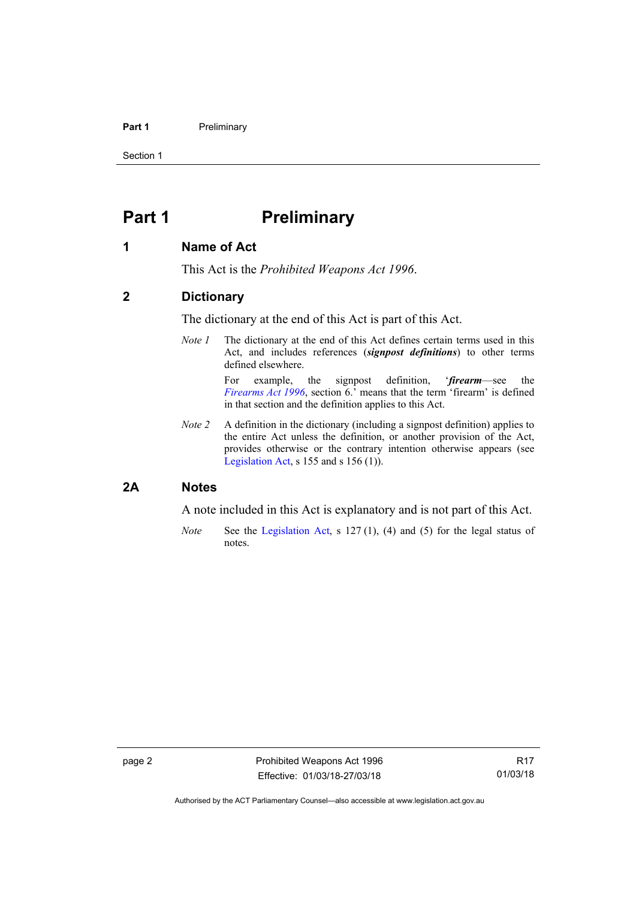### **Part 1** Preliminary

Section 1

# <span id="page-7-0"></span>**Part 1** Preliminary

## <span id="page-7-1"></span>**1 Name of Act**

This Act is the *Prohibited Weapons Act 1996*.

## <span id="page-7-2"></span>**2 Dictionary**

The dictionary at the end of this Act is part of this Act.

*Note 1* The dictionary at the end of this Act defines certain terms used in this Act, and includes references (*signpost definitions*) to other terms defined elsewhere.

> For example, the signpost definition, '*firearm*—see the *[Firearms Act 1996](http://www.legislation.act.gov.au/a/1996-74)*, section 6.' means that the term 'firearm' is defined in that section and the definition applies to this Act.

*Note 2* A definition in the dictionary (including a signpost definition) applies to the entire Act unless the definition, or another provision of the Act, provides otherwise or the contrary intention otherwise appears (see [Legislation Act,](http://www.legislation.act.gov.au/a/2001-14) s  $155$  and s  $156$  (1)).

## <span id="page-7-3"></span>**2A Notes**

A note included in this Act is explanatory and is not part of this Act.

*Note* See the [Legislation Act,](http://www.legislation.act.gov.au/a/2001-14) s 127 (1), (4) and (5) for the legal status of notes.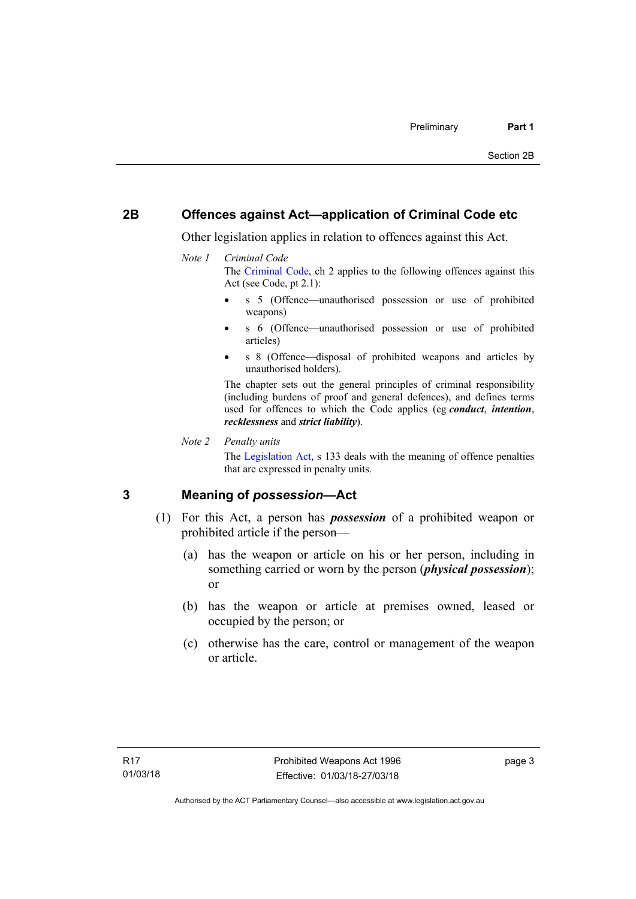## <span id="page-8-0"></span>**2B Offences against Act—application of Criminal Code etc**

Other legislation applies in relation to offences against this Act.

### *Note 1 Criminal Code*

The [Criminal Code](http://www.legislation.act.gov.au/a/2002-51), ch 2 applies to the following offences against this Act (see Code, pt 2.1):

- s 5 (Offence—unauthorised possession or use of prohibited weapons)
- s 6 (Offence—unauthorised possession or use of prohibited articles)
- s 8 (Offence—disposal of prohibited weapons and articles by unauthorised holders).

The chapter sets out the general principles of criminal responsibility (including burdens of proof and general defences), and defines terms used for offences to which the Code applies (eg *conduct*, *intention*, *recklessness* and *strict liability*).

*Note 2 Penalty units* 

The [Legislation Act](http://www.legislation.act.gov.au/a/2001-14), s 133 deals with the meaning of offence penalties that are expressed in penalty units.

## <span id="page-8-1"></span>**3 Meaning of** *possession***—Act**

- (1) For this Act, a person has *possession* of a prohibited weapon or prohibited article if the person—
	- (a) has the weapon or article on his or her person, including in something carried or worn by the person (*physical possession*); or
	- (b) has the weapon or article at premises owned, leased or occupied by the person; or
	- (c) otherwise has the care, control or management of the weapon or article.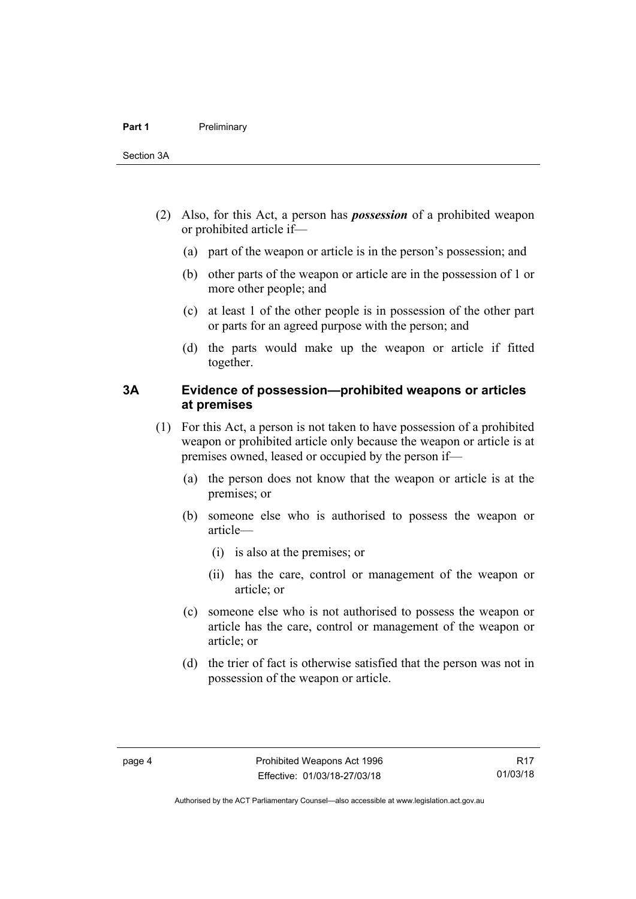- (2) Also, for this Act, a person has *possession* of a prohibited weapon or prohibited article if—
	- (a) part of the weapon or article is in the person's possession; and
	- (b) other parts of the weapon or article are in the possession of 1 or more other people; and
	- (c) at least 1 of the other people is in possession of the other part or parts for an agreed purpose with the person; and
	- (d) the parts would make up the weapon or article if fitted together.

## <span id="page-9-0"></span>**3A Evidence of possession—prohibited weapons or articles at premises**

- (1) For this Act, a person is not taken to have possession of a prohibited weapon or prohibited article only because the weapon or article is at premises owned, leased or occupied by the person if—
	- (a) the person does not know that the weapon or article is at the premises; or
	- (b) someone else who is authorised to possess the weapon or article—
		- (i) is also at the premises; or
		- (ii) has the care, control or management of the weapon or article; or
	- (c) someone else who is not authorised to possess the weapon or article has the care, control or management of the weapon or article; or
	- (d) the trier of fact is otherwise satisfied that the person was not in possession of the weapon or article.

R17 01/03/18

Authorised by the ACT Parliamentary Counsel—also accessible at www.legislation.act.gov.au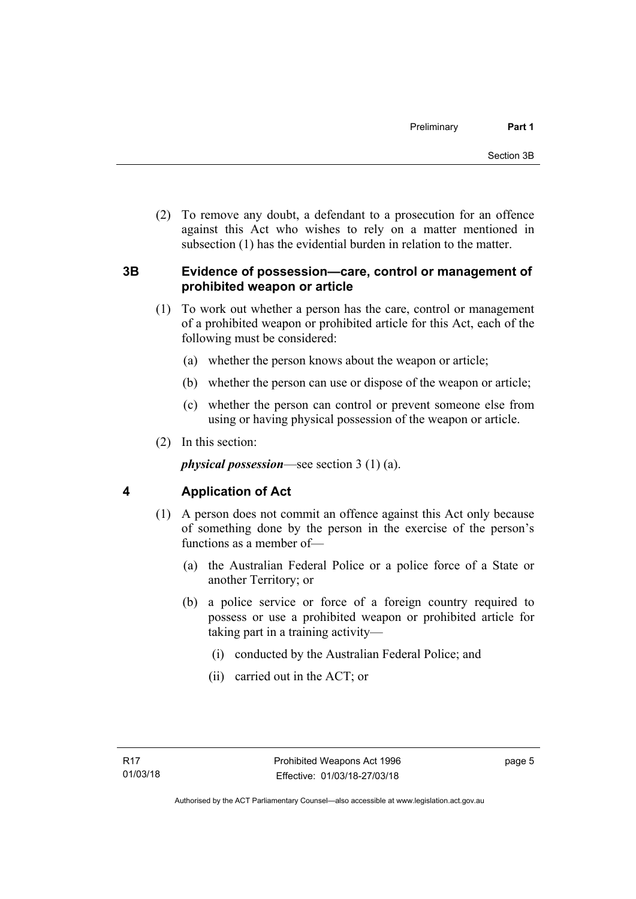(2) To remove any doubt, a defendant to a prosecution for an offence against this Act who wishes to rely on a matter mentioned in subsection (1) has the evidential burden in relation to the matter.

## <span id="page-10-0"></span>**3B Evidence of possession—care, control or management of prohibited weapon or article**

- (1) To work out whether a person has the care, control or management of a prohibited weapon or prohibited article for this Act, each of the following must be considered:
	- (a) whether the person knows about the weapon or article;
	- (b) whether the person can use or dispose of the weapon or article;
	- (c) whether the person can control or prevent someone else from using or having physical possession of the weapon or article.
- (2) In this section:

*physical possession*—see section 3 (1) (a).

# <span id="page-10-1"></span>**4 Application of Act**

- (1) A person does not commit an offence against this Act only because of something done by the person in the exercise of the person's functions as a member of—
	- (a) the Australian Federal Police or a police force of a State or another Territory; or
	- (b) a police service or force of a foreign country required to possess or use a prohibited weapon or prohibited article for taking part in a training activity—
		- (i) conducted by the Australian Federal Police; and
		- (ii) carried out in the ACT; or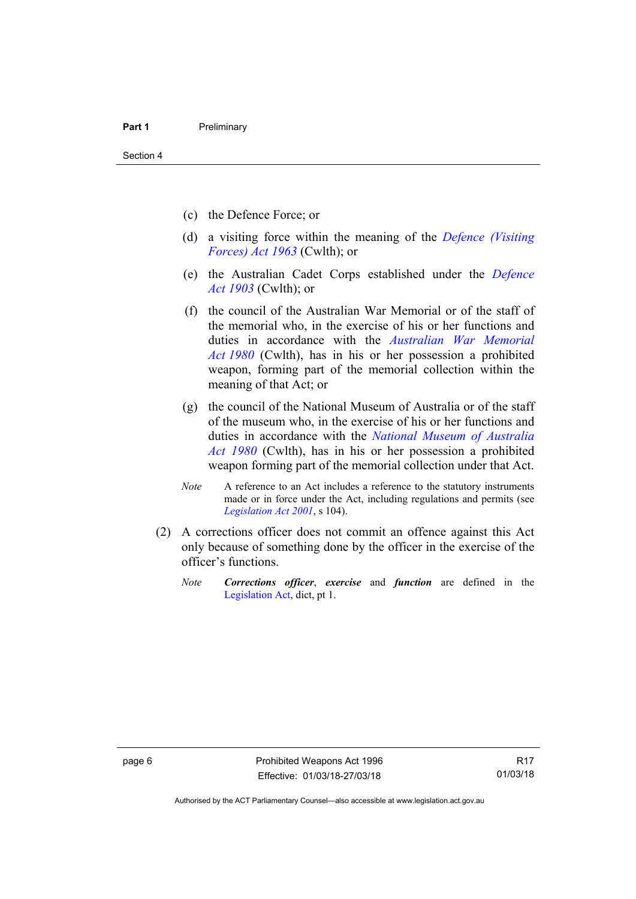- (c) the Defence Force; or
- (d) a visiting force within the meaning of the *[Defence \(Visiting](http://www.comlaw.gov.au/Series/C1963A00081)  [Forces\) Act 1963](http://www.comlaw.gov.au/Series/C1963A00081)* (Cwlth); or
- (e) the Australian Cadet Corps established under the *[Defence](http://www.comlaw.gov.au/Series/C1903A00020)  [Act 1903](http://www.comlaw.gov.au/Series/C1903A00020)* (Cwlth); or
- (f) the council of the Australian War Memorial or of the staff of the memorial who, in the exercise of his or her functions and duties in accordance with the *[Australian War Memorial](http://www.comlaw.gov.au/Series/C2004A02305)  [Act 1980](http://www.comlaw.gov.au/Series/C2004A02305)* (Cwlth), has in his or her possession a prohibited weapon, forming part of the memorial collection within the meaning of that Act; or
- (g) the council of the National Museum of Australia or of the staff of the museum who, in the exercise of his or her functions and duties in accordance with the *[National Museum of Australia](http://www.comlaw.gov.au/Series/C2004A02316)  [Act 1980](http://www.comlaw.gov.au/Series/C2004A02316)* (Cwlth), has in his or her possession a prohibited weapon forming part of the memorial collection under that Act.
- *Note* A reference to an Act includes a reference to the statutory instruments made or in force under the Act, including regulations and permits (see *[Legislation Act 2001](http://www.legislation.act.gov.au/a/2001-14)*, s 104).
- (2) A corrections officer does not commit an offence against this Act only because of something done by the officer in the exercise of the officer's functions.
	- *Note Corrections officer*, *exercise* and *function* are defined in the [Legislation Act,](http://www.legislation.act.gov.au/a/2001-14) dict, pt 1.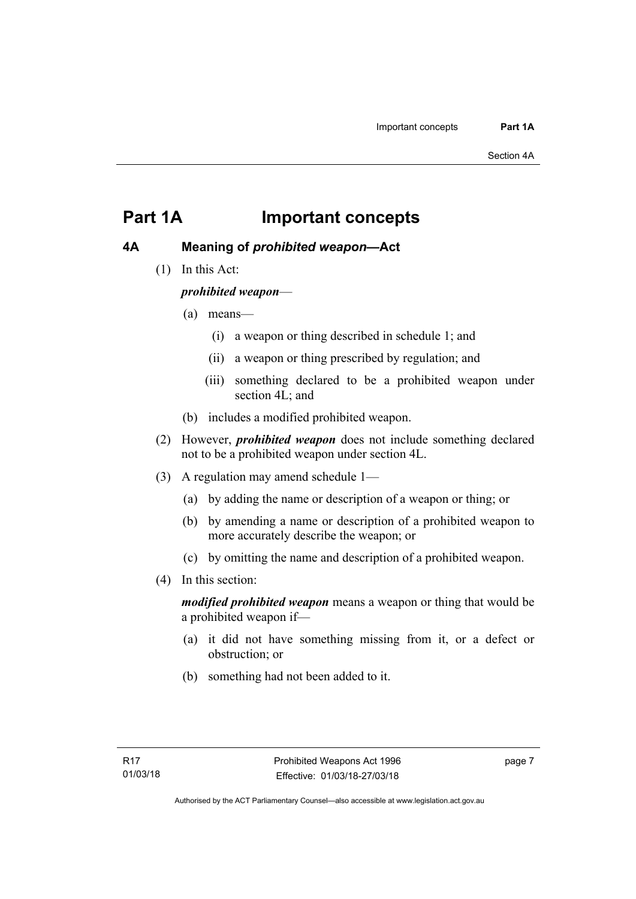# <span id="page-12-0"></span>**Part 1A Important concepts**

# <span id="page-12-1"></span>**4A Meaning of** *prohibited weapon***—Act**

(1) In this Act:

*prohibited weapon*—

- (a) means—
	- (i) a weapon or thing described in schedule 1; and
	- (ii) a weapon or thing prescribed by regulation; and
	- (iii) something declared to be a prohibited weapon under section 4L; and
- (b) includes a modified prohibited weapon.
- (2) However, *prohibited weapon* does not include something declared not to be a prohibited weapon under section 4L.
- (3) A regulation may amend schedule 1—
	- (a) by adding the name or description of a weapon or thing; or
	- (b) by amending a name or description of a prohibited weapon to more accurately describe the weapon; or
	- (c) by omitting the name and description of a prohibited weapon.
- (4) In this section:

*modified prohibited weapon* means a weapon or thing that would be a prohibited weapon if—

- (a) it did not have something missing from it, or a defect or obstruction; or
- (b) something had not been added to it.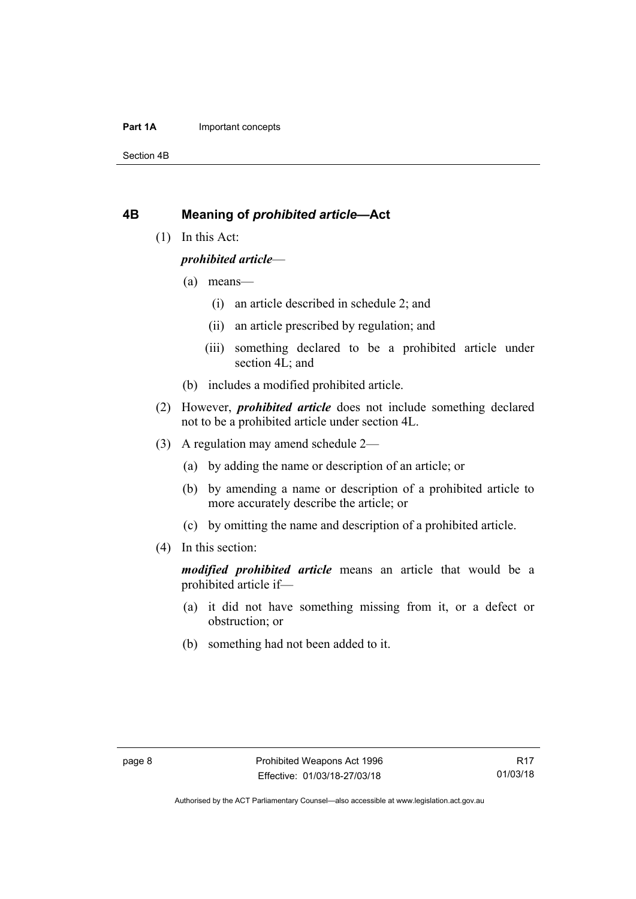### **Part 1A** Important concepts

Section 4B

## <span id="page-13-0"></span>**4B Meaning of** *prohibited article***—Act**

(1) In this Act:

### *prohibited article*—

- (a) means—
	- (i) an article described in schedule 2; and
	- (ii) an article prescribed by regulation; and
	- (iii) something declared to be a prohibited article under section 4L; and
- (b) includes a modified prohibited article.
- (2) However, *prohibited article* does not include something declared not to be a prohibited article under section 4L.
- (3) A regulation may amend schedule 2—
	- (a) by adding the name or description of an article; or
	- (b) by amending a name or description of a prohibited article to more accurately describe the article; or
	- (c) by omitting the name and description of a prohibited article.
- (4) In this section:

*modified prohibited article* means an article that would be a prohibited article if—

- (a) it did not have something missing from it, or a defect or obstruction; or
- (b) something had not been added to it.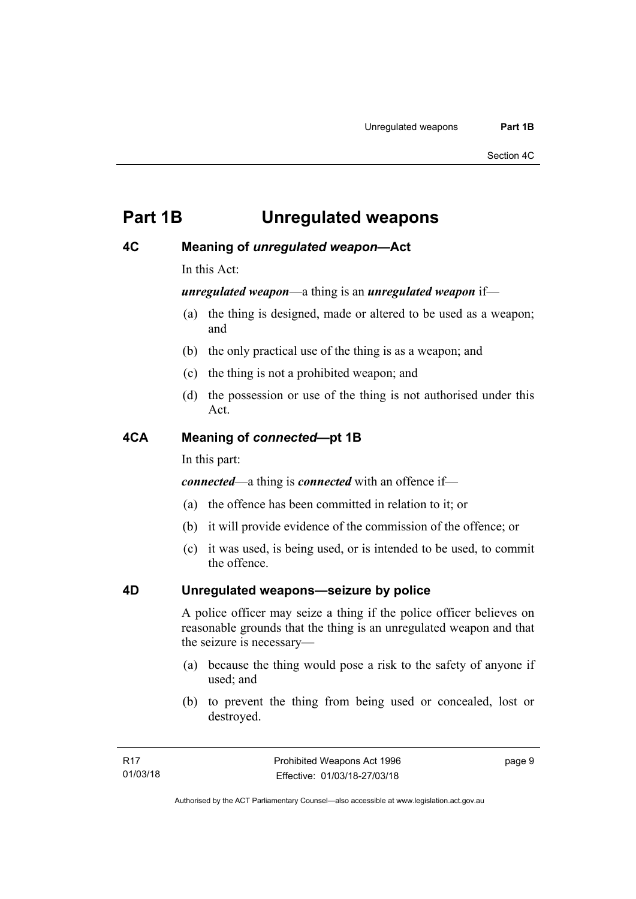# <span id="page-14-0"></span>**Part 1B Unregulated weapons**

# <span id="page-14-1"></span>**4C Meaning of** *unregulated weapon***—Act**

In this Act:

*unregulated weapon*—a thing is an *unregulated weapon* if—

- (a) the thing is designed, made or altered to be used as a weapon; and
- (b) the only practical use of the thing is as a weapon; and
- (c) the thing is not a prohibited weapon; and
- (d) the possession or use of the thing is not authorised under this Act.

## <span id="page-14-2"></span>**4CA Meaning of** *connected***—pt 1B**

In this part:

*connected*—a thing is *connected* with an offence if—

- (a) the offence has been committed in relation to it; or
- (b) it will provide evidence of the commission of the offence; or
- (c) it was used, is being used, or is intended to be used, to commit the offence.

# <span id="page-14-3"></span>**4D Unregulated weapons—seizure by police**

A police officer may seize a thing if the police officer believes on reasonable grounds that the thing is an unregulated weapon and that the seizure is necessary—

- (a) because the thing would pose a risk to the safety of anyone if used; and
- (b) to prevent the thing from being used or concealed, lost or destroyed.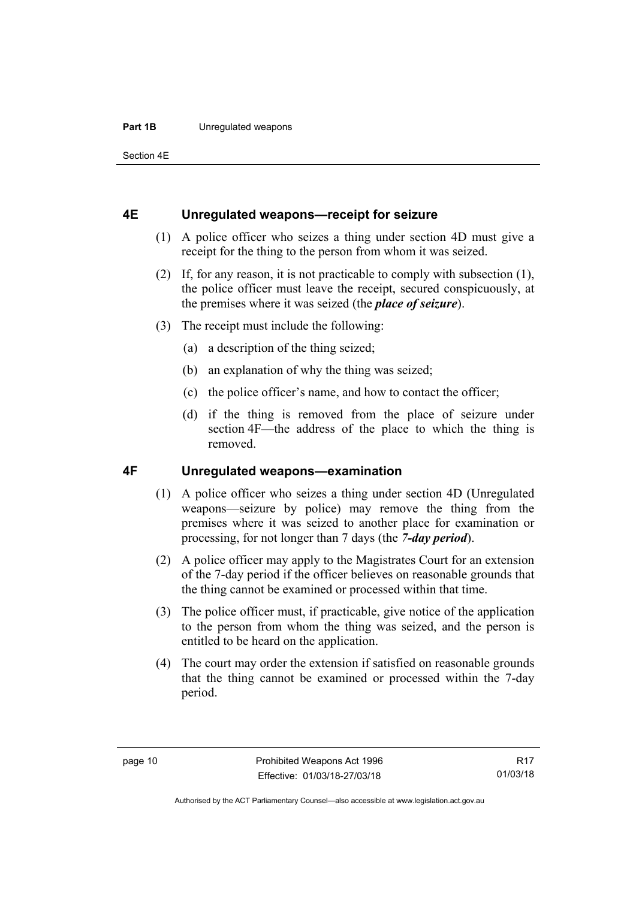### **Part 1B** Unregulated weapons

Section 4E

## <span id="page-15-0"></span>**4E Unregulated weapons—receipt for seizure**

- (1) A police officer who seizes a thing under section 4D must give a receipt for the thing to the person from whom it was seized.
- (2) If, for any reason, it is not practicable to comply with subsection (1), the police officer must leave the receipt, secured conspicuously, at the premises where it was seized (the *place of seizure*).
- (3) The receipt must include the following:
	- (a) a description of the thing seized;
	- (b) an explanation of why the thing was seized;
	- (c) the police officer's name, and how to contact the officer;
	- (d) if the thing is removed from the place of seizure under section 4F—the address of the place to which the thing is removed.

## <span id="page-15-1"></span>**4F Unregulated weapons—examination**

- (1) A police officer who seizes a thing under section 4D (Unregulated weapons—seizure by police) may remove the thing from the premises where it was seized to another place for examination or processing, for not longer than 7 days (the *7-day period*).
- (2) A police officer may apply to the Magistrates Court for an extension of the 7-day period if the officer believes on reasonable grounds that the thing cannot be examined or processed within that time.
- (3) The police officer must, if practicable, give notice of the application to the person from whom the thing was seized, and the person is entitled to be heard on the application.
- (4) The court may order the extension if satisfied on reasonable grounds that the thing cannot be examined or processed within the 7-day period.

R17 01/03/18

Authorised by the ACT Parliamentary Counsel—also accessible at www.legislation.act.gov.au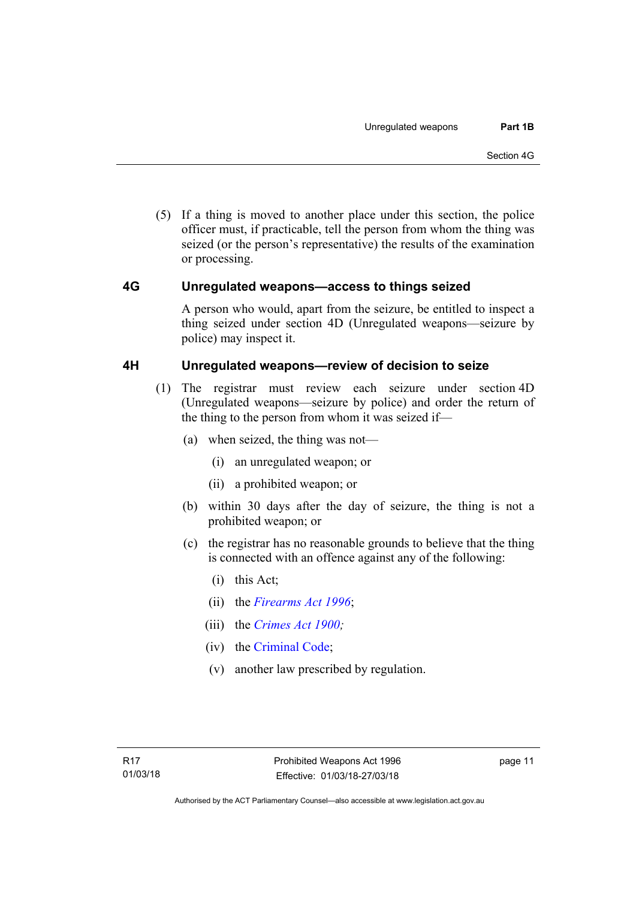(5) If a thing is moved to another place under this section, the police officer must, if practicable, tell the person from whom the thing was seized (or the person's representative) the results of the examination or processing.

## <span id="page-16-0"></span>**4G Unregulated weapons—access to things seized**

A person who would, apart from the seizure, be entitled to inspect a thing seized under section 4D (Unregulated weapons—seizure by police) may inspect it.

## <span id="page-16-1"></span>**4H Unregulated weapons—review of decision to seize**

- (1) The registrar must review each seizure under section 4D (Unregulated weapons—seizure by police) and order the return of the thing to the person from whom it was seized if—
	- (a) when seized, the thing was not—
		- (i) an unregulated weapon; or
		- (ii) a prohibited weapon; or
	- (b) within 30 days after the day of seizure, the thing is not a prohibited weapon; or
	- (c) the registrar has no reasonable grounds to believe that the thing is connected with an offence against any of the following:
		- (i) this Act;
		- (ii) the *[Firearms Act 1996](http://www.legislation.act.gov.au/a/1996-74)*;
		- (iii) the *[Crimes Act 1900](http://www.legislation.act.gov.au/a/1900-40);*
		- (iv) the [Criminal Code;](http://www.legislation.act.gov.au/a/2002-51)
		- (v) another law prescribed by regulation.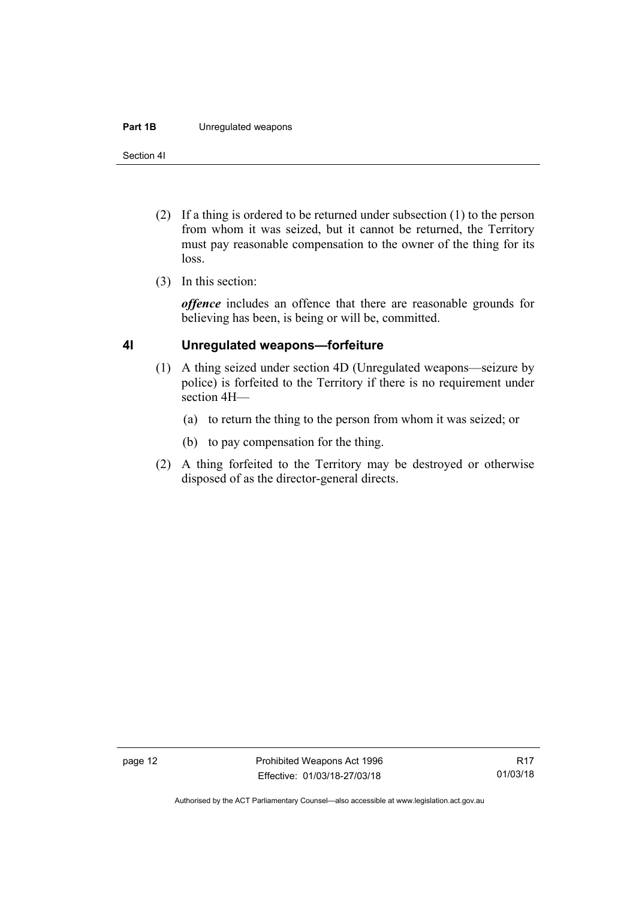### **Part 1B** Unregulated weapons

Section 4I

- (2) If a thing is ordered to be returned under subsection (1) to the person from whom it was seized, but it cannot be returned, the Territory must pay reasonable compensation to the owner of the thing for its loss.
- (3) In this section:

*offence* includes an offence that there are reasonable grounds for believing has been, is being or will be, committed.

## <span id="page-17-0"></span>**4I Unregulated weapons—forfeiture**

- (1) A thing seized under section 4D (Unregulated weapons—seizure by police) is forfeited to the Territory if there is no requirement under section 4H—
	- (a) to return the thing to the person from whom it was seized; or
	- (b) to pay compensation for the thing.
- (2) A thing forfeited to the Territory may be destroyed or otherwise disposed of as the director-general directs.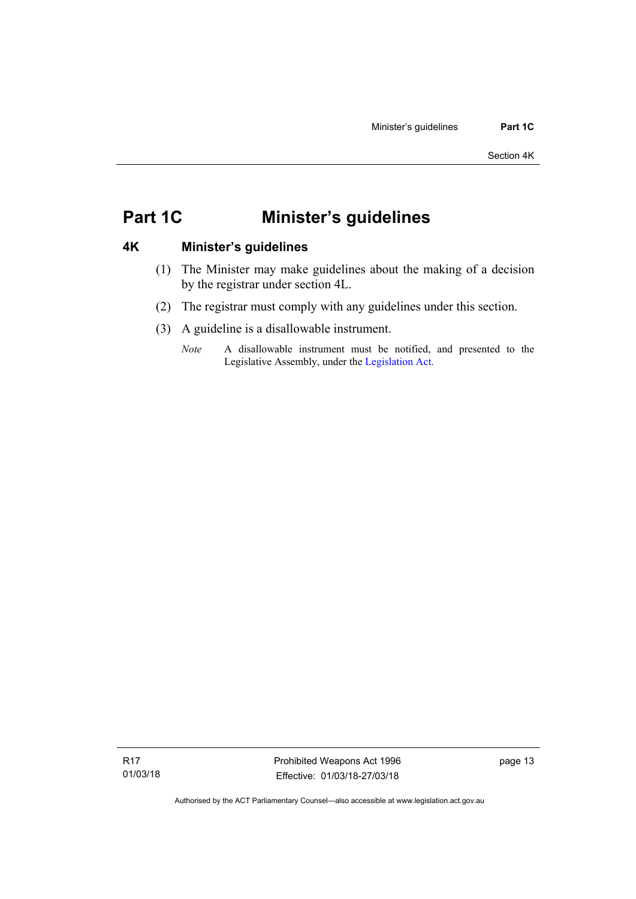# <span id="page-18-0"></span>**Part 1C Minister's guidelines**

## <span id="page-18-1"></span>**4K Minister's guidelines**

- (1) The Minister may make guidelines about the making of a decision by the registrar under section 4L.
- (2) The registrar must comply with any guidelines under this section.
- (3) A guideline is a disallowable instrument.
	- *Note* A disallowable instrument must be notified, and presented to the Legislative Assembly, under the [Legislation Act.](http://www.legislation.act.gov.au/a/2001-14)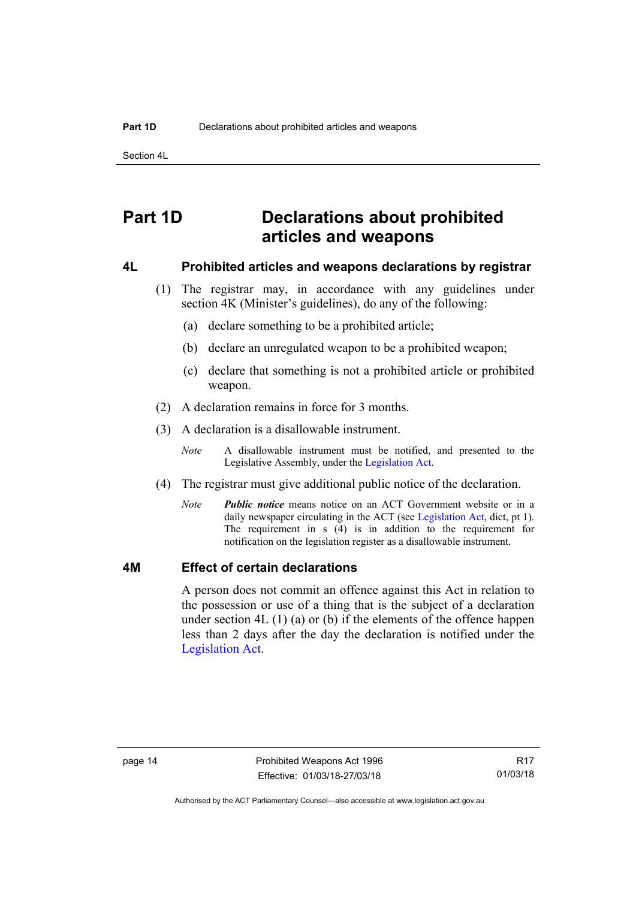Section 4L

# <span id="page-19-0"></span>**Part 1D Declarations about prohibited articles and weapons**

## <span id="page-19-1"></span>**4L Prohibited articles and weapons declarations by registrar**

- (1) The registrar may, in accordance with any guidelines under section 4K (Minister's guidelines), do any of the following:
	- (a) declare something to be a prohibited article;
	- (b) declare an unregulated weapon to be a prohibited weapon;
	- (c) declare that something is not a prohibited article or prohibited weapon.
- (2) A declaration remains in force for 3 months.
- (3) A declaration is a disallowable instrument.
	- *Note* A disallowable instrument must be notified, and presented to the Legislative Assembly, under the [Legislation Act.](http://www.legislation.act.gov.au/a/2001-14)
- (4) The registrar must give additional public notice of the declaration.
	- *Note Public notice* means notice on an ACT Government website or in a daily newspaper circulating in the ACT (see [Legislation Act](http://www.legislation.act.gov.au/a/2001-14), dict, pt 1). The requirement in s (4) is in addition to the requirement for notification on the legislation register as a disallowable instrument.

## <span id="page-19-2"></span>**4M Effect of certain declarations**

A person does not commit an offence against this Act in relation to the possession or use of a thing that is the subject of a declaration under section  $4L(1)(a)$  or (b) if the elements of the offence happen less than 2 days after the day the declaration is notified under the [Legislation Act](http://www.legislation.act.gov.au/a/2001-14).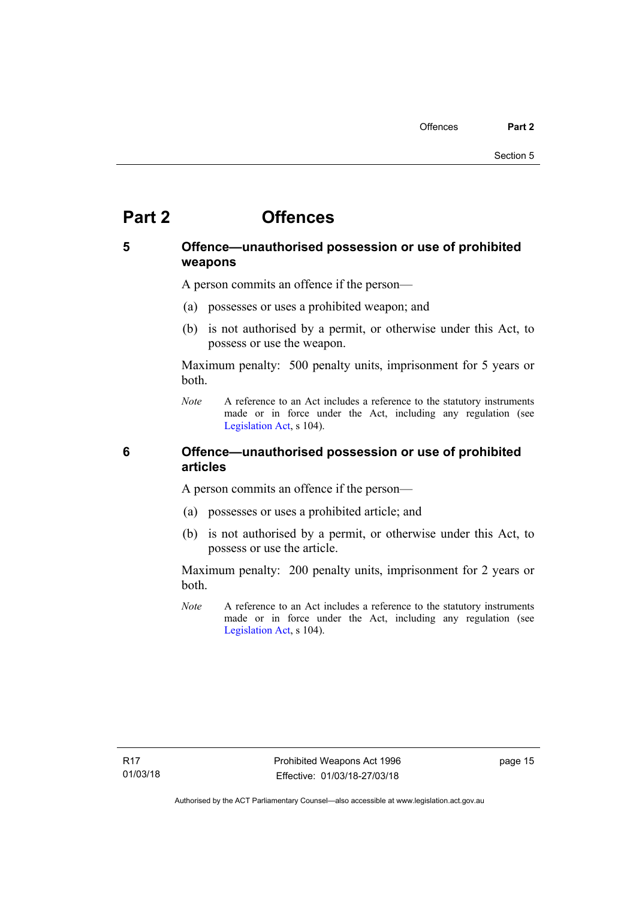# <span id="page-20-0"></span>**Part 2 Offences**

# <span id="page-20-1"></span>**5 Offence—unauthorised possession or use of prohibited weapons**

A person commits an offence if the person—

- (a) possesses or uses a prohibited weapon; and
- (b) is not authorised by a permit, or otherwise under this Act, to possess or use the weapon.

Maximum penalty: 500 penalty units, imprisonment for 5 years or both.

*Note* A reference to an Act includes a reference to the statutory instruments made or in force under the Act, including any regulation (see [Legislation Act,](http://www.legislation.act.gov.au/a/2001-14) s 104).

## <span id="page-20-2"></span>**6 Offence—unauthorised possession or use of prohibited articles**

A person commits an offence if the person—

- (a) possesses or uses a prohibited article; and
- (b) is not authorised by a permit, or otherwise under this Act, to possess or use the article.

Maximum penalty: 200 penalty units, imprisonment for 2 years or both.

*Note* A reference to an Act includes a reference to the statutory instruments made or in force under the Act, including any regulation (see [Legislation Act,](http://www.legislation.act.gov.au/a/2001-14) s 104).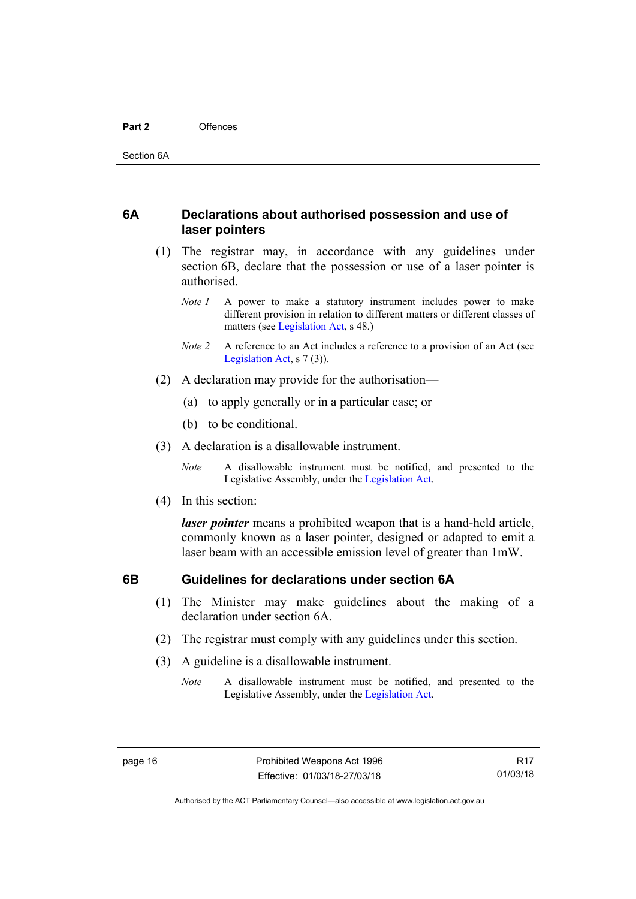## <span id="page-21-0"></span>**6A Declarations about authorised possession and use of laser pointers**

- (1) The registrar may, in accordance with any guidelines under section 6B, declare that the possession or use of a laser pointer is authorised.
	- *Note 1* A power to make a statutory instrument includes power to make different provision in relation to different matters or different classes of matters (see [Legislation Act,](http://www.legislation.act.gov.au/a/2001-14) s 48.)
	- *Note 2* A reference to an Act includes a reference to a provision of an Act (see [Legislation Act,](http://www.legislation.act.gov.au/a/2001-14) s 7 (3)).
- (2) A declaration may provide for the authorisation—
	- (a) to apply generally or in a particular case; or
	- (b) to be conditional.
- (3) A declaration is a disallowable instrument.

*Note* A disallowable instrument must be notified, and presented to the Legislative Assembly, under the [Legislation Act.](http://www.legislation.act.gov.au/a/2001-14)

(4) In this section:

*laser pointer* means a prohibited weapon that is a hand-held article, commonly known as a laser pointer, designed or adapted to emit a laser beam with an accessible emission level of greater than 1mW.

## <span id="page-21-1"></span>**6B Guidelines for declarations under section 6A**

- (1) The Minister may make guidelines about the making of a declaration under section 6A.
- (2) The registrar must comply with any guidelines under this section.
- (3) A guideline is a disallowable instrument.
	- *Note* A disallowable instrument must be notified, and presented to the Legislative Assembly, under the [Legislation Act.](http://www.legislation.act.gov.au/a/2001-14)

Authorised by the ACT Parliamentary Counsel—also accessible at www.legislation.act.gov.au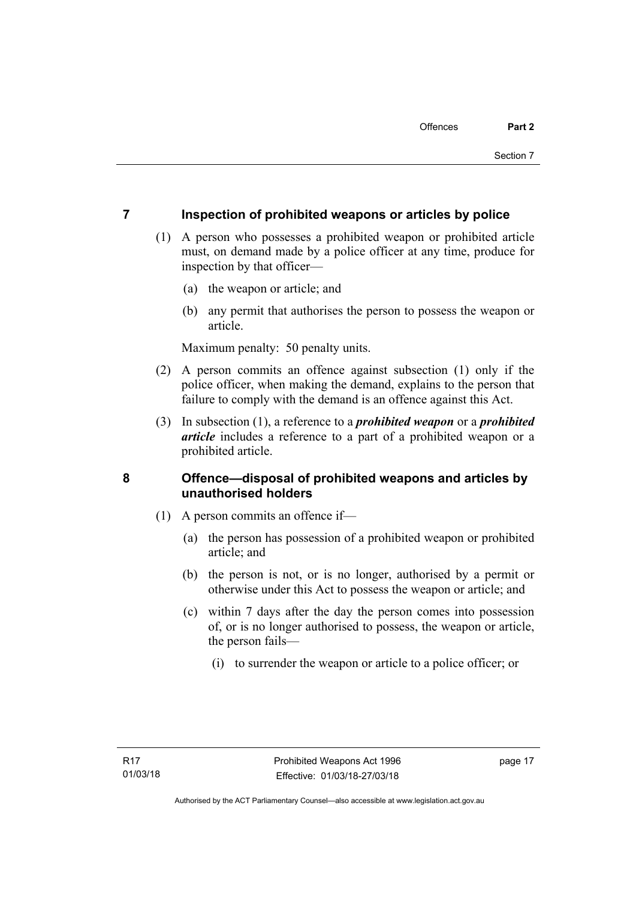# <span id="page-22-0"></span>**7 Inspection of prohibited weapons or articles by police**

- (1) A person who possesses a prohibited weapon or prohibited article must, on demand made by a police officer at any time, produce for inspection by that officer—
	- (a) the weapon or article; and
	- (b) any permit that authorises the person to possess the weapon or article.

Maximum penalty: 50 penalty units.

- (2) A person commits an offence against subsection (1) only if the police officer, when making the demand, explains to the person that failure to comply with the demand is an offence against this Act.
- (3) In subsection (1), a reference to a *prohibited weapon* or a *prohibited article* includes a reference to a part of a prohibited weapon or a prohibited article.

# <span id="page-22-1"></span>**8 Offence—disposal of prohibited weapons and articles by unauthorised holders**

- (1) A person commits an offence if—
	- (a) the person has possession of a prohibited weapon or prohibited article; and
	- (b) the person is not, or is no longer, authorised by a permit or otherwise under this Act to possess the weapon or article; and
	- (c) within 7 days after the day the person comes into possession of, or is no longer authorised to possess, the weapon or article, the person fails—
		- (i) to surrender the weapon or article to a police officer; or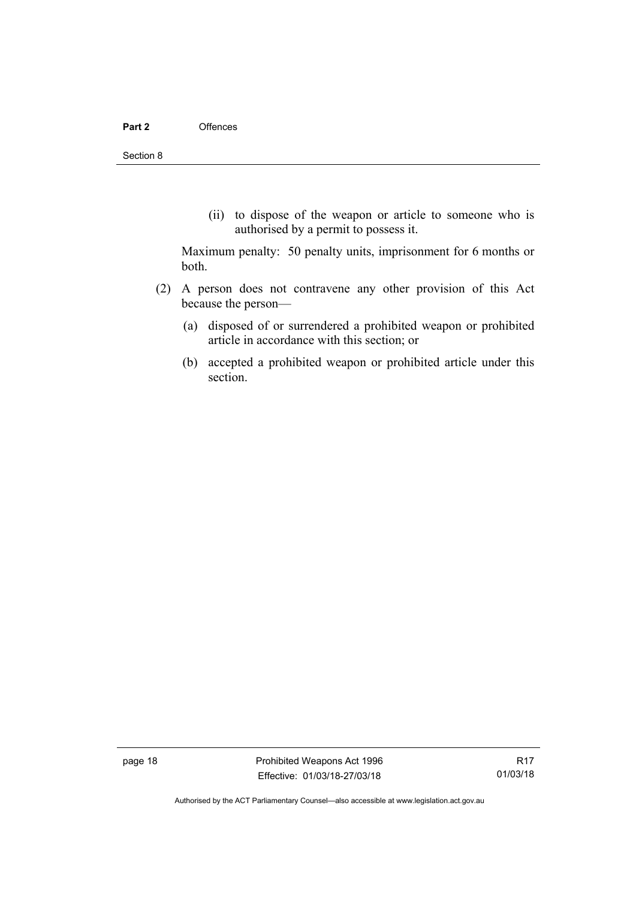(ii) to dispose of the weapon or article to someone who is authorised by a permit to possess it.

Maximum penalty: 50 penalty units, imprisonment for 6 months or both.

- (2) A person does not contravene any other provision of this Act because the person—
	- (a) disposed of or surrendered a prohibited weapon or prohibited article in accordance with this section; or
	- (b) accepted a prohibited weapon or prohibited article under this section.

page 18 **Prohibited Weapons Act 1996** Effective: 01/03/18-27/03/18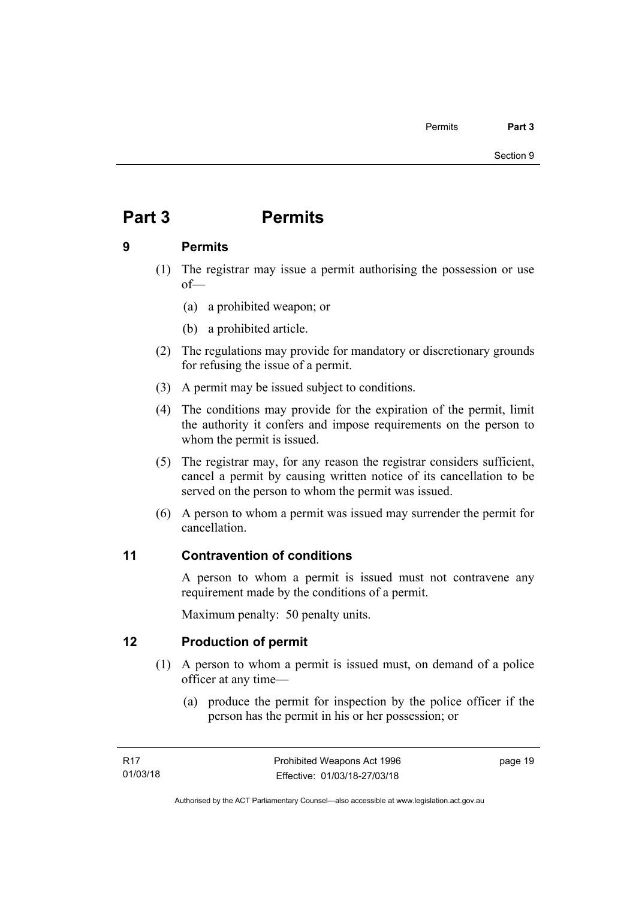# <span id="page-24-0"></span>**Part 3 Permits**

# <span id="page-24-1"></span>**9 Permits**

- (1) The registrar may issue a permit authorising the possession or use of—
	- (a) a prohibited weapon; or
	- (b) a prohibited article.
- (2) The regulations may provide for mandatory or discretionary grounds for refusing the issue of a permit.
- (3) A permit may be issued subject to conditions.
- (4) The conditions may provide for the expiration of the permit, limit the authority it confers and impose requirements on the person to whom the permit is issued.
- (5) The registrar may, for any reason the registrar considers sufficient, cancel a permit by causing written notice of its cancellation to be served on the person to whom the permit was issued.
- (6) A person to whom a permit was issued may surrender the permit for cancellation.

# <span id="page-24-2"></span>**11 Contravention of conditions**

A person to whom a permit is issued must not contravene any requirement made by the conditions of a permit.

Maximum penalty: 50 penalty units.

# <span id="page-24-3"></span>**12 Production of permit**

- (1) A person to whom a permit is issued must, on demand of a police officer at any time—
	- (a) produce the permit for inspection by the police officer if the person has the permit in his or her possession; or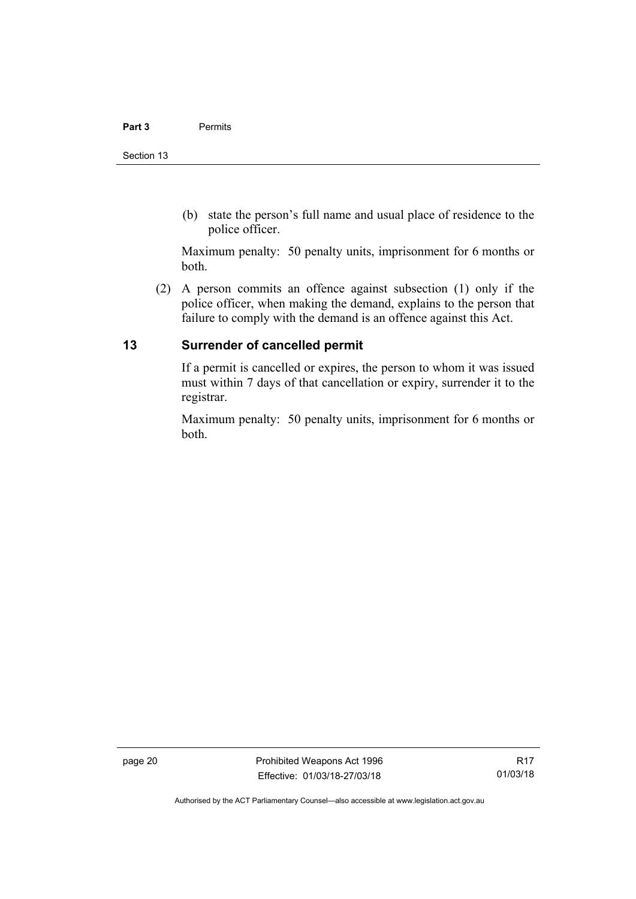(b) state the person's full name and usual place of residence to the police officer.

Maximum penalty: 50 penalty units, imprisonment for 6 months or both.

 (2) A person commits an offence against subsection (1) only if the police officer, when making the demand, explains to the person that failure to comply with the demand is an offence against this Act.

# <span id="page-25-0"></span>**13 Surrender of cancelled permit**

If a permit is cancelled or expires, the person to whom it was issued must within 7 days of that cancellation or expiry, surrender it to the registrar.

Maximum penalty: 50 penalty units, imprisonment for 6 months or both.

page 20 **Prohibited Weapons Act 1996** Effective: 01/03/18-27/03/18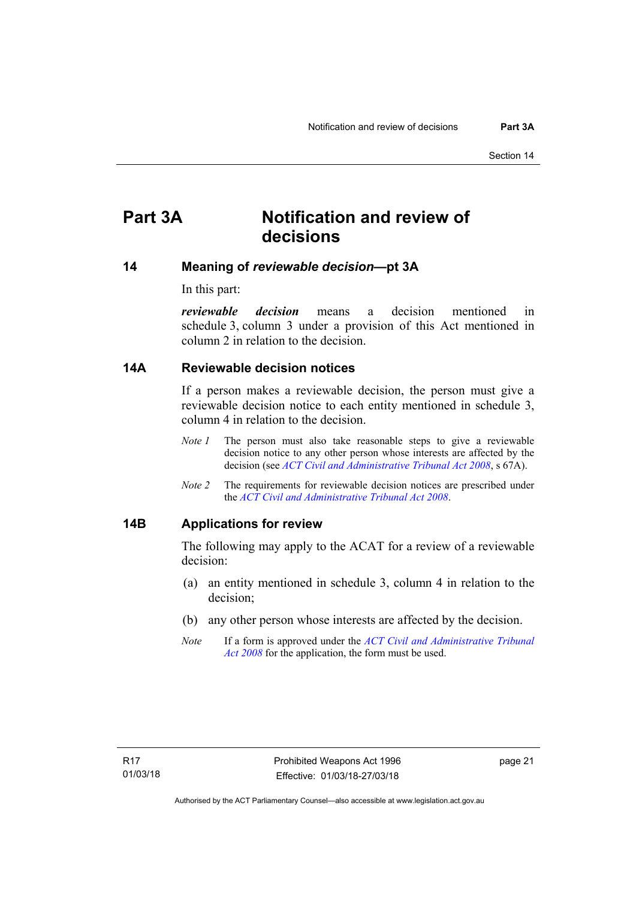# <span id="page-26-0"></span>**Part 3A Notification and review of decisions**

## <span id="page-26-1"></span>**14 Meaning of** *reviewable decision—***pt 3A**

In this part:

*reviewable decision* means a decision mentioned in schedule 3, column 3 under a provision of this Act mentioned in column 2 in relation to the decision.

## <span id="page-26-2"></span>**14A Reviewable decision notices**

If a person makes a reviewable decision, the person must give a reviewable decision notice to each entity mentioned in schedule 3, column 4 in relation to the decision.

- *Note 1* The person must also take reasonable steps to give a reviewable decision notice to any other person whose interests are affected by the decision (see *[ACT Civil and Administrative Tribunal Act 2008](http://www.legislation.act.gov.au/a/2008-35)*, s 67A).
- *Note 2* The requirements for reviewable decision notices are prescribed under the *[ACT Civil and Administrative Tribunal Act 2008](http://www.legislation.act.gov.au/a/2008-35)*.

## <span id="page-26-3"></span>**14B Applications for review**

The following may apply to the ACAT for a review of a reviewable decision:

- (a) an entity mentioned in schedule 3, column 4 in relation to the decision;
- (b) any other person whose interests are affected by the decision.
- *Note* If a form is approved under the *[ACT Civil and Administrative Tribunal](http://www.legislation.act.gov.au/a/2008-35)  [Act 2008](http://www.legislation.act.gov.au/a/2008-35)* for the application, the form must be used.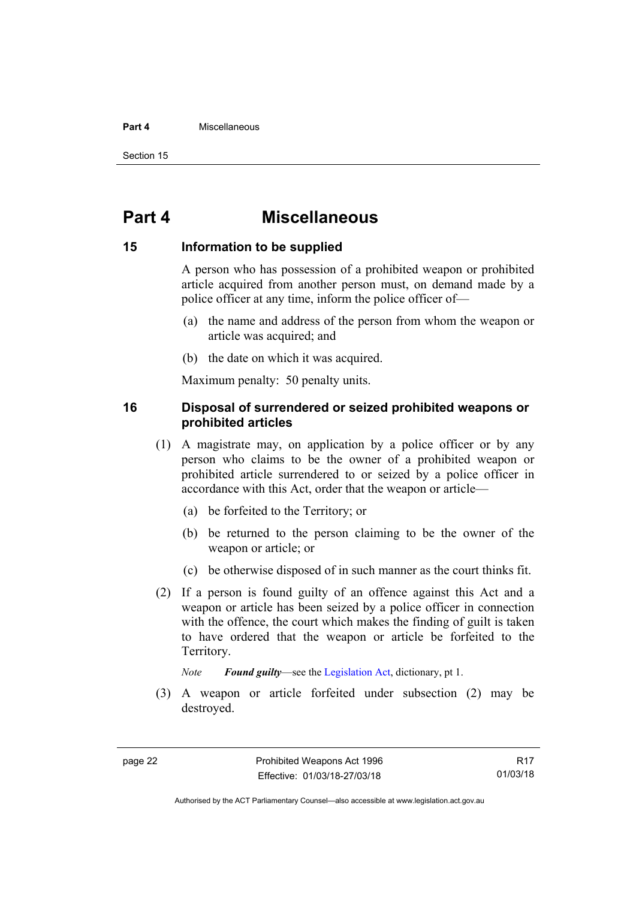#### **Part 4** Miscellaneous

Section 15

# <span id="page-27-0"></span>**Part 4 Miscellaneous**

## <span id="page-27-1"></span>**15 Information to be supplied**

A person who has possession of a prohibited weapon or prohibited article acquired from another person must, on demand made by a police officer at any time, inform the police officer of—

- (a) the name and address of the person from whom the weapon or article was acquired; and
- (b) the date on which it was acquired.

Maximum penalty: 50 penalty units.

## <span id="page-27-2"></span>**16 Disposal of surrendered or seized prohibited weapons or prohibited articles**

- (1) A magistrate may, on application by a police officer or by any person who claims to be the owner of a prohibited weapon or prohibited article surrendered to or seized by a police officer in accordance with this Act, order that the weapon or article—
	- (a) be forfeited to the Territory; or
	- (b) be returned to the person claiming to be the owner of the weapon or article; or
	- (c) be otherwise disposed of in such manner as the court thinks fit.
- (2) If a person is found guilty of an offence against this Act and a weapon or article has been seized by a police officer in connection with the offence, the court which makes the finding of guilt is taken to have ordered that the weapon or article be forfeited to the Territory.

*Note Found guilty*—see the [Legislation Act,](http://www.legislation.act.gov.au/a/2001-14) dictionary, pt 1.

 (3) A weapon or article forfeited under subsection (2) may be destroyed.

R17 01/03/18

Authorised by the ACT Parliamentary Counsel—also accessible at www.legislation.act.gov.au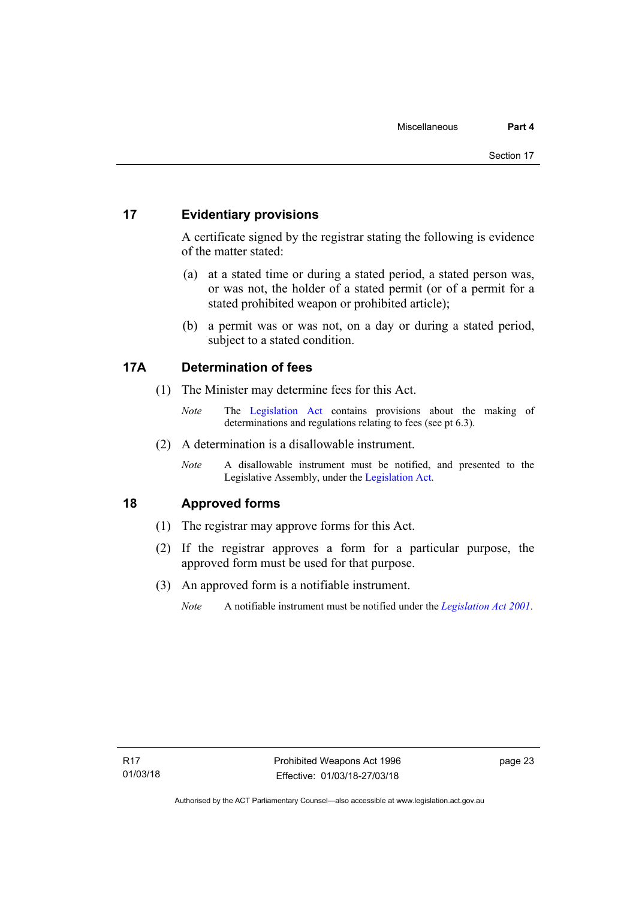# <span id="page-28-0"></span>**17 Evidentiary provisions**

A certificate signed by the registrar stating the following is evidence of the matter stated:

- (a) at a stated time or during a stated period, a stated person was, or was not, the holder of a stated permit (or of a permit for a stated prohibited weapon or prohibited article);
- (b) a permit was or was not, on a day or during a stated period, subject to a stated condition.

# <span id="page-28-1"></span>**17A Determination of fees**

- (1) The Minister may determine fees for this Act.
	- *Note* The [Legislation Act](http://www.legislation.act.gov.au/a/2001-14) contains provisions about the making of determinations and regulations relating to fees (see pt 6.3).
- (2) A determination is a disallowable instrument.
	- *Note* A disallowable instrument must be notified, and presented to the Legislative Assembly, under the [Legislation Act.](http://www.legislation.act.gov.au/a/2001-14)

# <span id="page-28-2"></span>**18 Approved forms**

- (1) The registrar may approve forms for this Act.
- (2) If the registrar approves a form for a particular purpose, the approved form must be used for that purpose.
- (3) An approved form is a notifiable instrument.
	- *Note* A notifiable instrument must be notified under the *[Legislation Act 2001](http://www.legislation.act.gov.au/a/2001-14)*.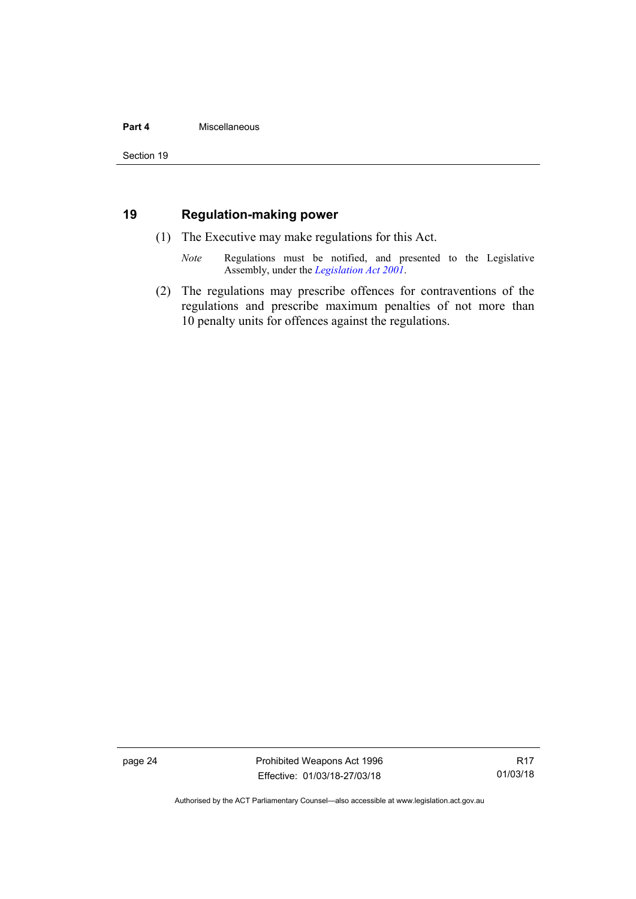### **Part 4** Miscellaneous

# <span id="page-29-0"></span>**19 Regulation-making power**

- (1) The Executive may make regulations for this Act.
	- *Note* Regulations must be notified, and presented to the Legislative Assembly, under the *[Legislation Act 2001](http://www.legislation.act.gov.au/a/2001-14)*.
- (2) The regulations may prescribe offences for contraventions of the regulations and prescribe maximum penalties of not more than 10 penalty units for offences against the regulations.

page 24 **Prohibited Weapons Act 1996** Effective: 01/03/18-27/03/18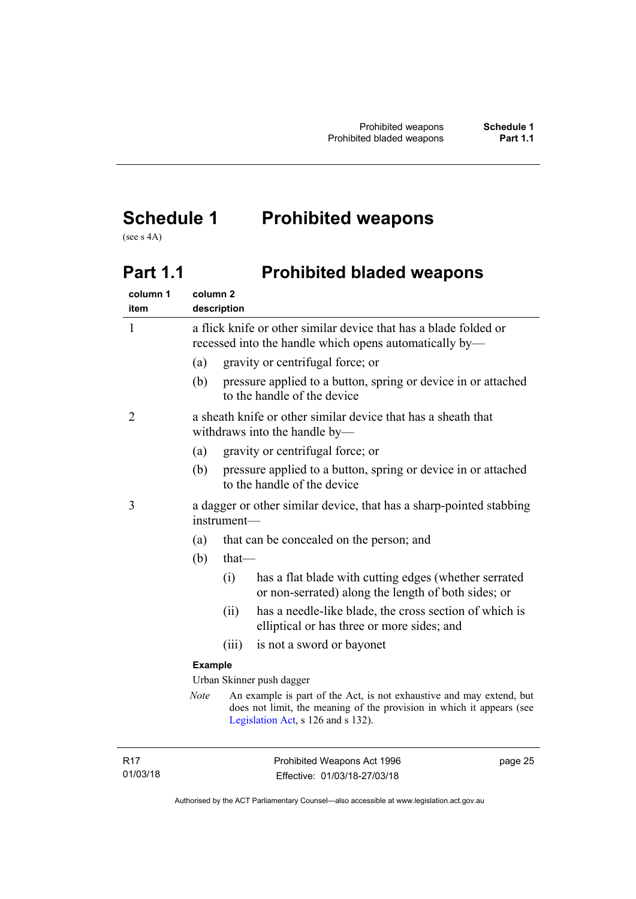# <span id="page-30-0"></span>**Schedule 1 Prohibited weapons**

(see s 4A)

# <span id="page-30-1"></span>Part 1.1 **Prohibited bladed weapons**

| column 1<br>item | column <sub>2</sub>       | description                                                                                                                |                                                                                                                                                                                     |
|------------------|---------------------------|----------------------------------------------------------------------------------------------------------------------------|-------------------------------------------------------------------------------------------------------------------------------------------------------------------------------------|
| $\mathbf{1}$     |                           | a flick knife or other similar device that has a blade folded or<br>recessed into the handle which opens automatically by— |                                                                                                                                                                                     |
|                  | (a)                       |                                                                                                                            | gravity or centrifugal force; or                                                                                                                                                    |
|                  | (b)                       |                                                                                                                            | pressure applied to a button, spring or device in or attached<br>to the handle of the device                                                                                        |
| 2                |                           |                                                                                                                            | a sheath knife or other similar device that has a sheath that<br>withdraws into the handle by-                                                                                      |
|                  | (a)                       |                                                                                                                            | gravity or centrifugal force; or                                                                                                                                                    |
|                  | (b)                       |                                                                                                                            | pressure applied to a button, spring or device in or attached<br>to the handle of the device                                                                                        |
| 3                |                           | a dagger or other similar device, that has a sharp-pointed stabbing<br>instrument-                                         |                                                                                                                                                                                     |
|                  | (a)                       |                                                                                                                            | that can be concealed on the person; and                                                                                                                                            |
|                  | (b)                       | $that$ —                                                                                                                   |                                                                                                                                                                                     |
|                  |                           | (i)                                                                                                                        | has a flat blade with cutting edges (whether serrated<br>or non-serrated) along the length of both sides; or                                                                        |
|                  |                           | (ii)                                                                                                                       | has a needle-like blade, the cross section of which is<br>elliptical or has three or more sides; and                                                                                |
|                  |                           | (iii)                                                                                                                      | is not a sword or bayonet                                                                                                                                                           |
|                  | <b>Example</b>            |                                                                                                                            |                                                                                                                                                                                     |
|                  | Urban Skinner push dagger |                                                                                                                            |                                                                                                                                                                                     |
|                  | <b>Note</b>               |                                                                                                                            | An example is part of the Act, is not exhaustive and may extend, but<br>does not limit, the meaning of the provision in which it appears (see<br>Legislation Act, s 126 and s 132). |
|                  |                           |                                                                                                                            |                                                                                                                                                                                     |

R17 01/03/18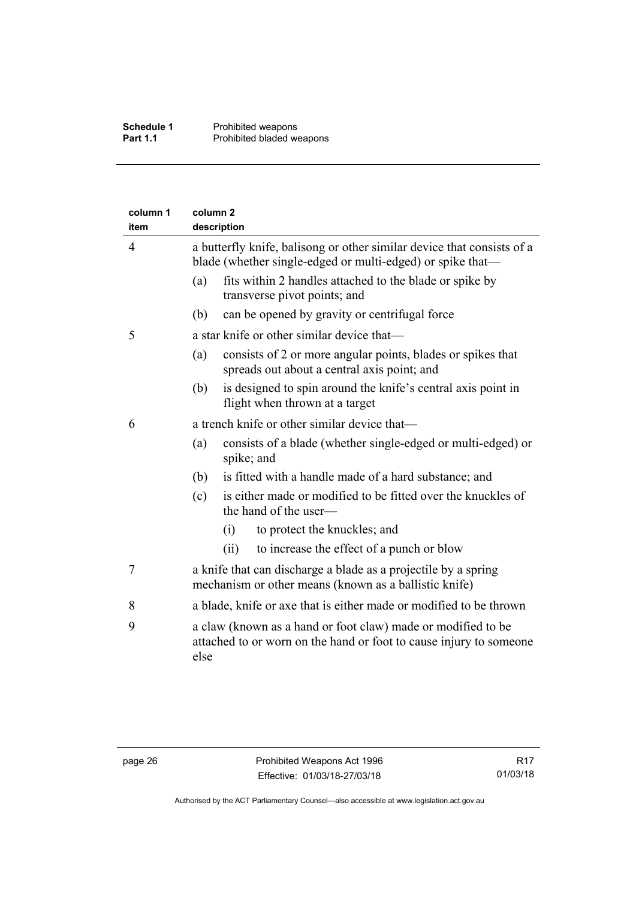| item           | column <sub>2</sub><br>description |                                                                                                                                      |
|----------------|------------------------------------|--------------------------------------------------------------------------------------------------------------------------------------|
| $\overline{4}$ |                                    | a butterfly knife, balisong or other similar device that consists of a<br>blade (whether single-edged or multi-edged) or spike that— |
|                | (a)                                | fits within 2 handles attached to the blade or spike by<br>transverse pivot points; and                                              |
|                | (b)                                | can be opened by gravity or centrifugal force                                                                                        |
| 5              |                                    | a star knife or other similar device that—                                                                                           |
|                | (a)                                | consists of 2 or more angular points, blades or spikes that<br>spreads out about a central axis point; and                           |
|                | (b)                                | is designed to spin around the knife's central axis point in<br>flight when thrown at a target                                       |
| 6              |                                    | a trench knife or other similar device that-                                                                                         |
|                | (a)                                | consists of a blade (whether single-edged or multi-edged) or<br>spike; and                                                           |
|                | (b)                                | is fitted with a handle made of a hard substance; and                                                                                |
|                | (c)                                | is either made or modified to be fitted over the knuckles of<br>the hand of the user-                                                |
|                |                                    | to protect the knuckles; and<br>(i)                                                                                                  |
|                |                                    | to increase the effect of a punch or blow<br>(ii)                                                                                    |
| 7              |                                    | a knife that can discharge a blade as a projectile by a spring<br>mechanism or other means (known as a ballistic knife)              |
| 8              |                                    | a blade, knife or axe that is either made or modified to be thrown                                                                   |
| 9              | else                               | a claw (known as a hand or foot claw) made or modified to be<br>attached to or worn on the hand or foot to cause injury to someone   |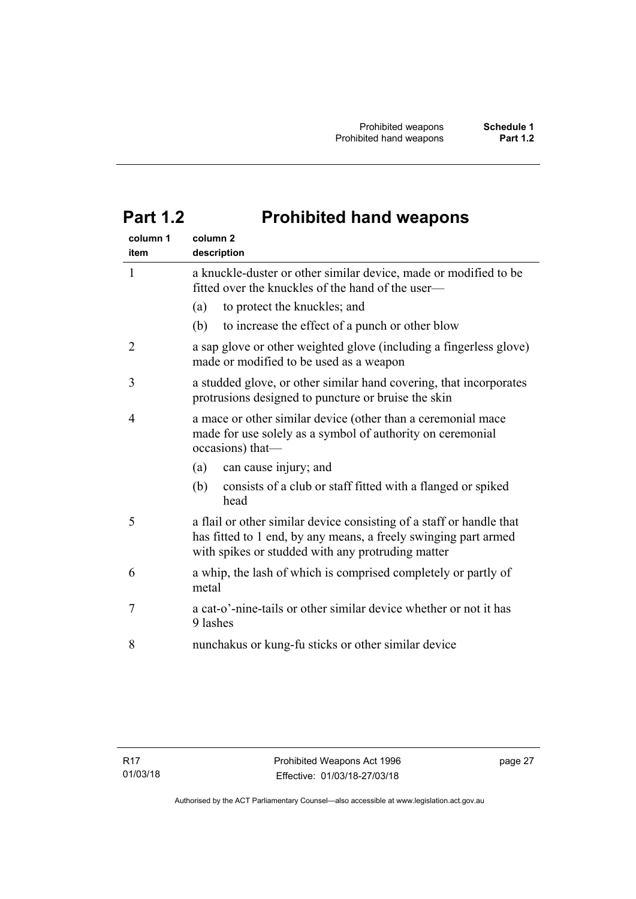# <span id="page-32-0"></span>**Part 1.2 Prohibited hand weapons**

| column 1<br>item | column <sub>2</sub><br>description                                                                                                                                                           |
|------------------|----------------------------------------------------------------------------------------------------------------------------------------------------------------------------------------------|
| $\mathbf{1}$     | a knuckle-duster or other similar device, made or modified to be<br>fitted over the knuckles of the hand of the user—                                                                        |
|                  | to protect the knuckles; and<br>(a)                                                                                                                                                          |
|                  | (b)<br>to increase the effect of a punch or other blow                                                                                                                                       |
| $\overline{2}$   | a sap glove or other weighted glove (including a fingerless glove)<br>made or modified to be used as a weapon                                                                                |
| 3                | a studded glove, or other similar hand covering, that incorporates<br>protrusions designed to puncture or bruise the skin                                                                    |
| 4                | a mace or other similar device (other than a ceremonial mace<br>made for use solely as a symbol of authority on ceremonial<br>occasions) that-                                               |
|                  | (a)<br>can cause injury; and                                                                                                                                                                 |
|                  | (b)<br>consists of a club or staff fitted with a flanged or spiked<br>head                                                                                                                   |
| 5                | a flail or other similar device consisting of a staff or handle that<br>has fitted to 1 end, by any means, a freely swinging part armed<br>with spikes or studded with any protruding matter |
| 6                | a whip, the lash of which is comprised completely or partly of<br>metal                                                                                                                      |
| 7                | a cat-o'-nine-tails or other similar device whether or not it has<br>9 lashes                                                                                                                |
| 8                | nunchakus or kung-fu sticks or other similar device                                                                                                                                          |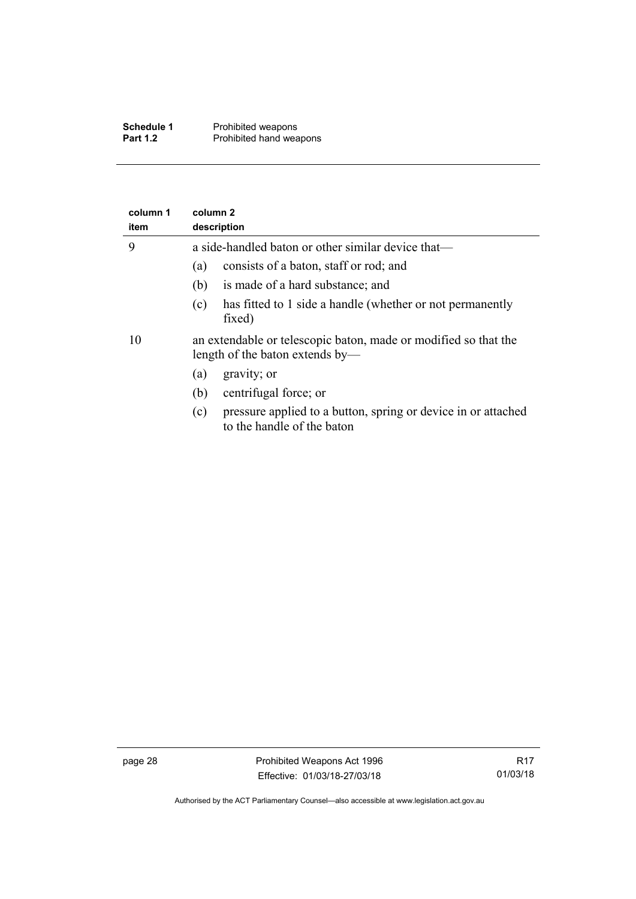| Schedule 1      | Prohibited weapons      |
|-----------------|-------------------------|
| <b>Part 1.2</b> | Prohibited hand weapons |

| column 1<br>item | column 2<br>description                                                                            |  |  |  |
|------------------|----------------------------------------------------------------------------------------------------|--|--|--|
| 9                | a side-handled baton or other similar device that—                                                 |  |  |  |
|                  | consists of a baton, staff or rod; and<br>(a)                                                      |  |  |  |
|                  | is made of a hard substance; and<br>(b)                                                            |  |  |  |
|                  | has fitted to 1 side a handle (whether or not permanently<br>(c)<br>fixed)                         |  |  |  |
| 10               | an extendable or telescopic baton, made or modified so that the<br>length of the baton extends by— |  |  |  |
|                  | gravity; or<br>(a)                                                                                 |  |  |  |
|                  | centrifugal force; or<br>(b)                                                                       |  |  |  |
|                  | pressure applied to a button, spring or device in or attached<br>(c)<br>to the handle of the baton |  |  |  |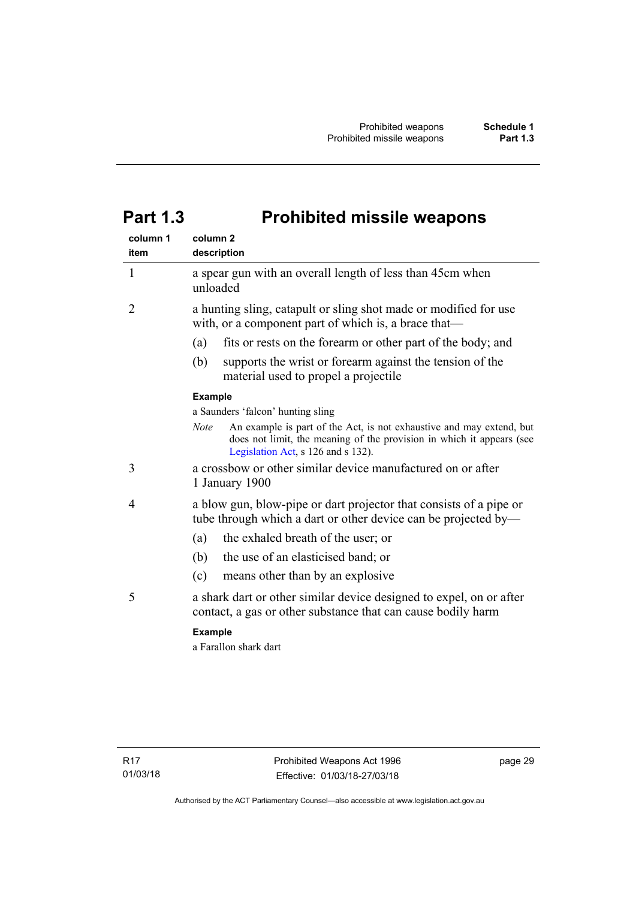# <span id="page-34-0"></span>**Part 1.3 Prohibited missile weapons**

| column 1<br>item | column <sub>2</sub><br>description                                                                                                                                                                 |
|------------------|----------------------------------------------------------------------------------------------------------------------------------------------------------------------------------------------------|
| 1                | a spear gun with an overall length of less than 45cm when<br>unloaded                                                                                                                              |
| 2                | a hunting sling, catapult or sling shot made or modified for use<br>with, or a component part of which is, a brace that—                                                                           |
|                  | (a)<br>fits or rests on the forearm or other part of the body; and                                                                                                                                 |
|                  | supports the wrist or forearm against the tension of the<br>(b)<br>material used to propel a projectile                                                                                            |
|                  | <b>Example</b>                                                                                                                                                                                     |
|                  | a Saunders 'falcon' hunting sling                                                                                                                                                                  |
|                  | <b>Note</b><br>An example is part of the Act, is not exhaustive and may extend, but<br>does not limit, the meaning of the provision in which it appears (see<br>Legislation Act, s 126 and s 132). |
| 3                | a crossbow or other similar device manufactured on or after<br>1 January 1900                                                                                                                      |
| 4                | a blow gun, blow-pipe or dart projector that consists of a pipe or<br>tube through which a dart or other device can be projected by—                                                               |
|                  | the exhaled breath of the user; or<br>(a)                                                                                                                                                          |
|                  | the use of an elasticised band; or<br>(b)                                                                                                                                                          |
|                  | (c)<br>means other than by an explosive                                                                                                                                                            |
| 5                | a shark dart or other similar device designed to expel, on or after<br>contact, a gas or other substance that can cause bodily harm                                                                |
|                  | <b>Example</b>                                                                                                                                                                                     |
|                  | a Farallon shark dart                                                                                                                                                                              |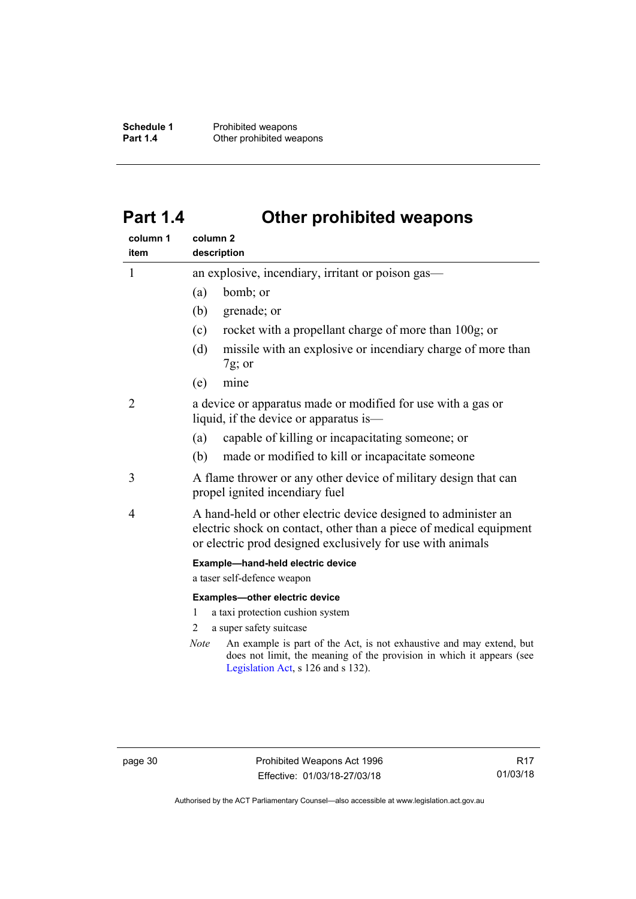**Schedule 1** Prohibited weapons<br> **Part 1.4** Other prohibited wea **Other prohibited weapons** 

# <span id="page-35-0"></span>**Part 1.4 Other prohibited weapons**

| column 1<br>item | column <sub>2</sub><br>description                                                                                                                                                                                                                                                                     |  |  |
|------------------|--------------------------------------------------------------------------------------------------------------------------------------------------------------------------------------------------------------------------------------------------------------------------------------------------------|--|--|
| 1                | an explosive, incendiary, irritant or poison gas—                                                                                                                                                                                                                                                      |  |  |
|                  | bomb; or<br>(a)                                                                                                                                                                                                                                                                                        |  |  |
|                  | grenade; or<br>(b)                                                                                                                                                                                                                                                                                     |  |  |
|                  | rocket with a propellant charge of more than 100g; or<br>(c)                                                                                                                                                                                                                                           |  |  |
|                  | missile with an explosive or incendiary charge of more than<br>(d)<br>$7g$ ; or                                                                                                                                                                                                                        |  |  |
|                  | mine<br>(e)                                                                                                                                                                                                                                                                                            |  |  |
| 2                | a device or apparatus made or modified for use with a gas or<br>liquid, if the device or apparatus is—                                                                                                                                                                                                 |  |  |
|                  | capable of killing or incapacitating someone; or<br>(a)                                                                                                                                                                                                                                                |  |  |
|                  | made or modified to kill or incapacitate someone<br>(b)                                                                                                                                                                                                                                                |  |  |
| 3                | A flame thrower or any other device of military design that can<br>propel ignited incendiary fuel                                                                                                                                                                                                      |  |  |
| 4                | A hand-held or other electric device designed to administer an<br>electric shock on contact, other than a piece of medical equipment<br>or electric prod designed exclusively for use with animals                                                                                                     |  |  |
|                  | Example-hand-held electric device<br>a taser self-defence weapon                                                                                                                                                                                                                                       |  |  |
|                  | Examples-other electric device<br>a taxi protection cushion system<br>1<br>a super safety suitcase<br>2<br>An example is part of the Act, is not exhaustive and may extend, but<br>Note<br>does not limit, the meaning of the provision in which it appears (see<br>Legislation Act, s 126 and s 132). |  |  |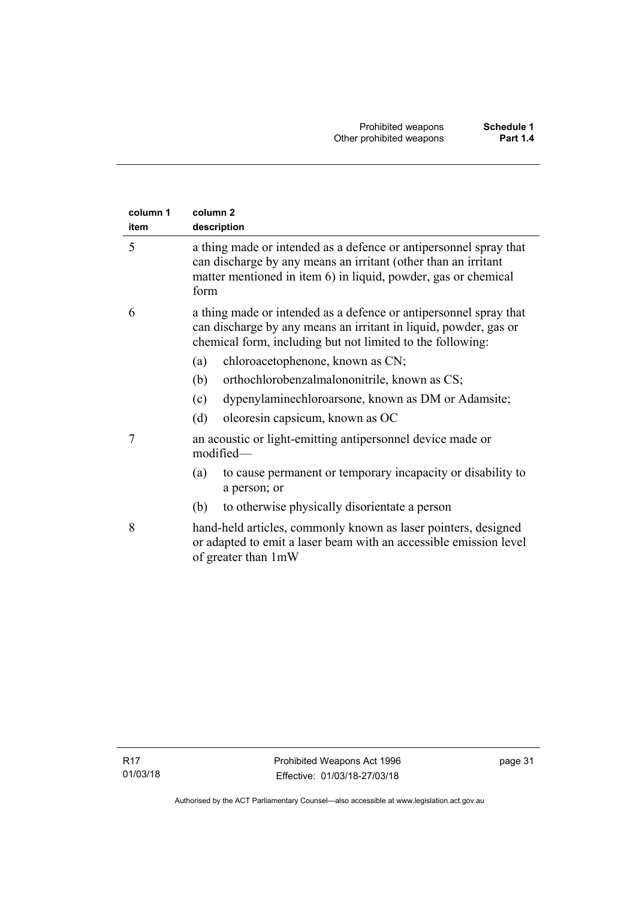| column 1<br>item | column <sub>2</sub><br>description                                                                                                                                                                            |
|------------------|---------------------------------------------------------------------------------------------------------------------------------------------------------------------------------------------------------------|
| 5                | a thing made or intended as a defence or antipersonnel spray that<br>can discharge by any means an irritant (other than an irritant<br>matter mentioned in item 6) in liquid, powder, gas or chemical<br>form |
| 6                | a thing made or intended as a defence or antipersonnel spray that<br>can discharge by any means an irritant in liquid, powder, gas or<br>chemical form, including but not limited to the following:           |
|                  | chloroacetophenone, known as CN;<br>(a)                                                                                                                                                                       |
|                  | (b)<br>orthochlorobenzalmalononitrile, known as CS;                                                                                                                                                           |
|                  | dypenylaminechloroarsone, known as DM or Adamsite;<br>(c)                                                                                                                                                     |
|                  | oleoresin capsicum, known as OC<br>(d)                                                                                                                                                                        |
| 7                | an acoustic or light-emitting antipersonnel device made or<br>modified-                                                                                                                                       |
|                  | to cause permanent or temporary incapacity or disability to<br>(a)<br>a person; or                                                                                                                            |
|                  | to otherwise physically disorientate a person<br>(b)                                                                                                                                                          |
| 8                | hand-held articles, commonly known as laser pointers, designed<br>or adapted to emit a laser beam with an accessible emission level<br>of greater than 1mW                                                    |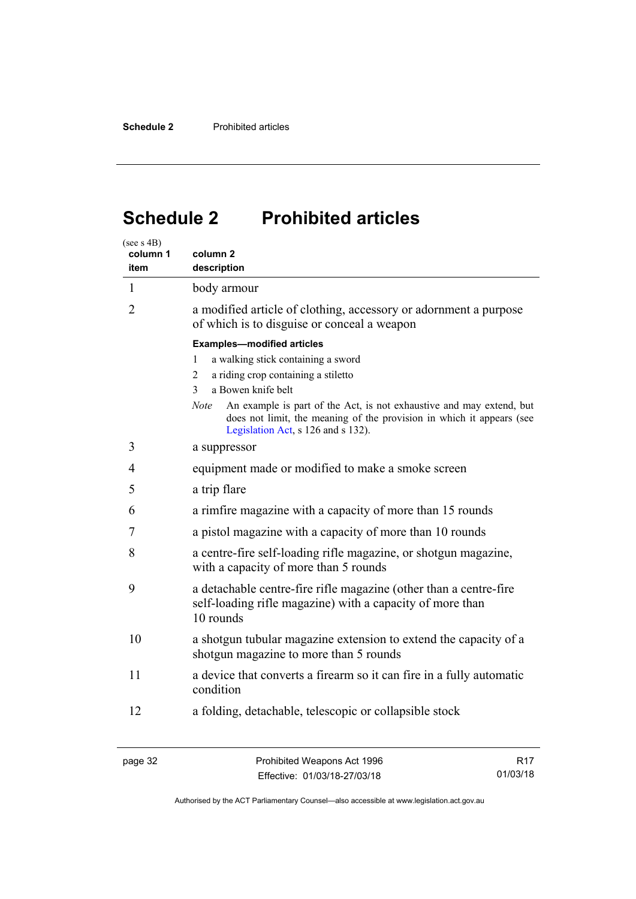# <span id="page-37-0"></span>**Schedule 2 Prohibited articles**

| (see s 4B)<br>column 1<br>item | column 2<br>description                                                                                                                                                                                                                                                                                                                            |  |  |
|--------------------------------|----------------------------------------------------------------------------------------------------------------------------------------------------------------------------------------------------------------------------------------------------------------------------------------------------------------------------------------------------|--|--|
| $\mathbf{1}$                   | body armour                                                                                                                                                                                                                                                                                                                                        |  |  |
| $\overline{2}$                 | a modified article of clothing, accessory or adornment a purpose<br>of which is to disguise or conceal a weapon                                                                                                                                                                                                                                    |  |  |
|                                | <b>Examples-modified articles</b><br>a walking stick containing a sword<br>1<br>a riding crop containing a stiletto<br>2<br>a Bowen knife belt<br>3<br>An example is part of the Act, is not exhaustive and may extend, but<br>Note<br>does not limit, the meaning of the provision in which it appears (see<br>Legislation Act, s 126 and s 132). |  |  |
| 3                              | a suppressor                                                                                                                                                                                                                                                                                                                                       |  |  |
| 4                              | equipment made or modified to make a smoke screen                                                                                                                                                                                                                                                                                                  |  |  |
| 5                              | a trip flare                                                                                                                                                                                                                                                                                                                                       |  |  |
| 6                              | a rimfire magazine with a capacity of more than 15 rounds                                                                                                                                                                                                                                                                                          |  |  |
| 7                              | a pistol magazine with a capacity of more than 10 rounds                                                                                                                                                                                                                                                                                           |  |  |
| 8                              | a centre-fire self-loading rifle magazine, or shotgun magazine,<br>with a capacity of more than 5 rounds                                                                                                                                                                                                                                           |  |  |
| 9                              | a detachable centre-fire rifle magazine (other than a centre-fire<br>self-loading rifle magazine) with a capacity of more than<br>10 rounds                                                                                                                                                                                                        |  |  |
| 10                             | a shotgun tubular magazine extension to extend the capacity of a<br>shotgun magazine to more than 5 rounds                                                                                                                                                                                                                                         |  |  |
| 11                             | a device that converts a firearm so it can fire in a fully automatic<br>condition                                                                                                                                                                                                                                                                  |  |  |
| 12                             | a folding, detachable, telescopic or collapsible stock                                                                                                                                                                                                                                                                                             |  |  |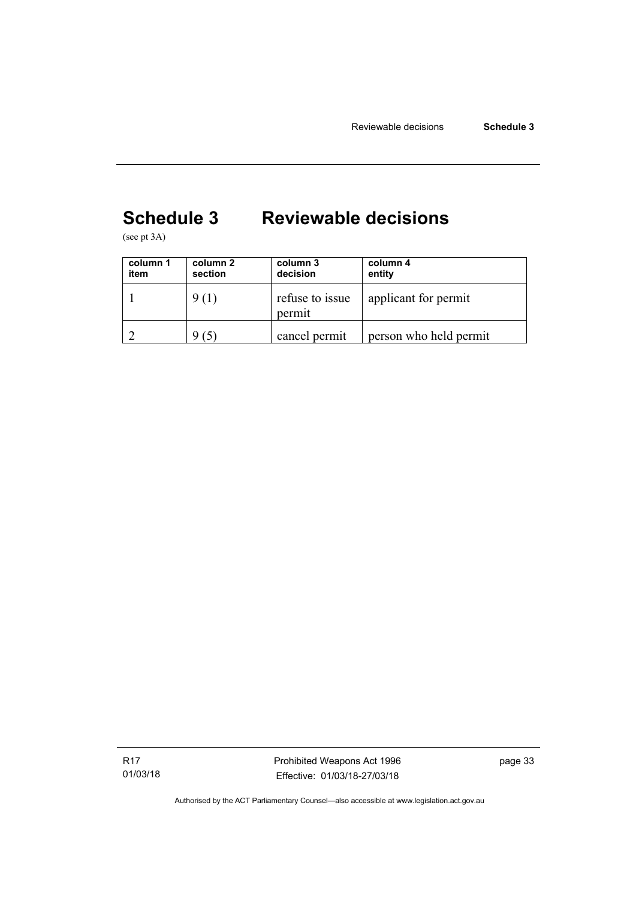# <span id="page-38-0"></span>**Schedule 3 Reviewable decisions**

(see pt 3A)

| column 1<br>item | column 2<br>section | column 3<br>decision      | column 4<br>entity     |
|------------------|---------------------|---------------------------|------------------------|
|                  | 9(1)                | refuse to issue<br>permit | applicant for permit   |
|                  | $\mathfrak{S}$ .    | cancel permit             | person who held permit |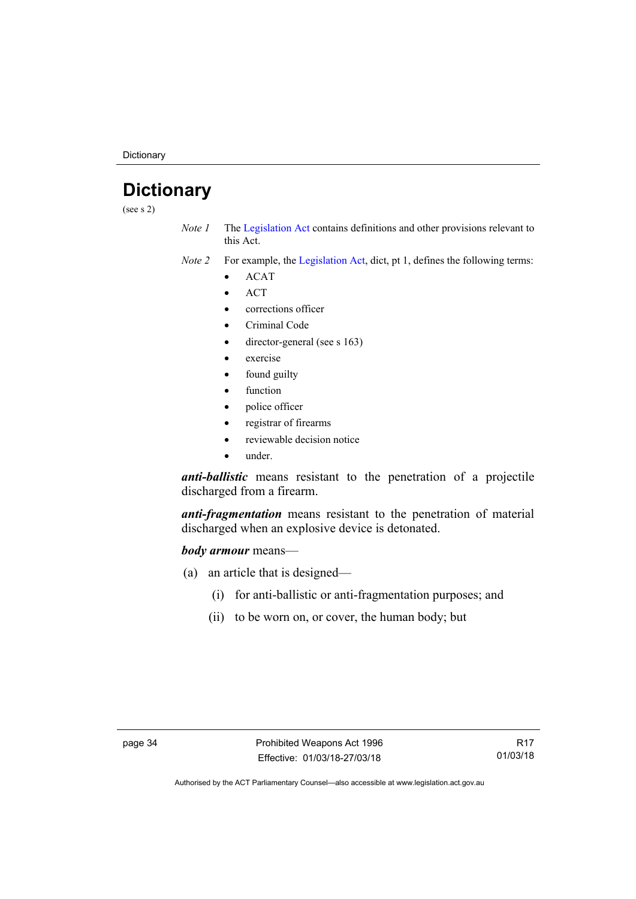**Dictionary** 

# <span id="page-39-0"></span>**Dictionary**

(see s 2)

- *Note 1* The [Legislation Act](http://www.legislation.act.gov.au/a/2001-14) contains definitions and other provisions relevant to this Act.
- *Note 2* For example, the [Legislation Act,](http://www.legislation.act.gov.au/a/2001-14) dict, pt 1, defines the following terms:
	- $\bullet$  ACAT
	- **ACT**
	- corrections officer
	- Criminal Code
	- director-general (see s 163)
	- exercise
	- found guilty
	- function
	- police officer
	- registrar of firearms
	- reviewable decision notice
	- under.

*anti-ballistic* means resistant to the penetration of a projectile discharged from a firearm.

*anti-fragmentation* means resistant to the penetration of material discharged when an explosive device is detonated.

### *body armour* means—

- (a) an article that is designed—
	- (i) for anti-ballistic or anti-fragmentation purposes; and
	- (ii) to be worn on, or cover, the human body; but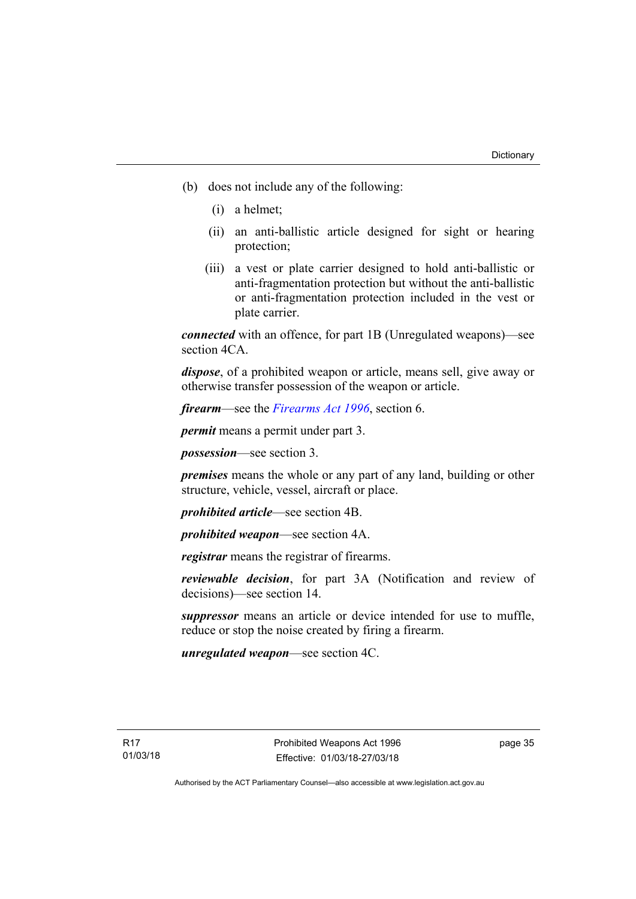- (b) does not include any of the following:
	- (i) a helmet;
	- (ii) an anti-ballistic article designed for sight or hearing protection;
	- (iii) a vest or plate carrier designed to hold anti-ballistic or anti-fragmentation protection but without the anti-ballistic or anti-fragmentation protection included in the vest or plate carrier.

*connected* with an offence, for part 1B (Unregulated weapons)—see section 4CA.

*dispose*, of a prohibited weapon or article, means sell, give away or otherwise transfer possession of the weapon or article.

*firearm*—see the *[Firearms Act 1996](http://www.legislation.act.gov.au/a/1996-74)*, section 6.

*permit* means a permit under part 3.

*possession*—see section 3.

*premises* means the whole or any part of any land, building or other structure, vehicle, vessel, aircraft or place.

*prohibited article*—see section 4B.

*prohibited weapon*—see section 4A.

*registrar* means the registrar of firearms.

*reviewable decision*, for part 3A (Notification and review of decisions)—see section 14.

*suppressor* means an article or device intended for use to muffle, reduce or stop the noise created by firing a firearm.

*unregulated weapon*—see section 4C.

page 35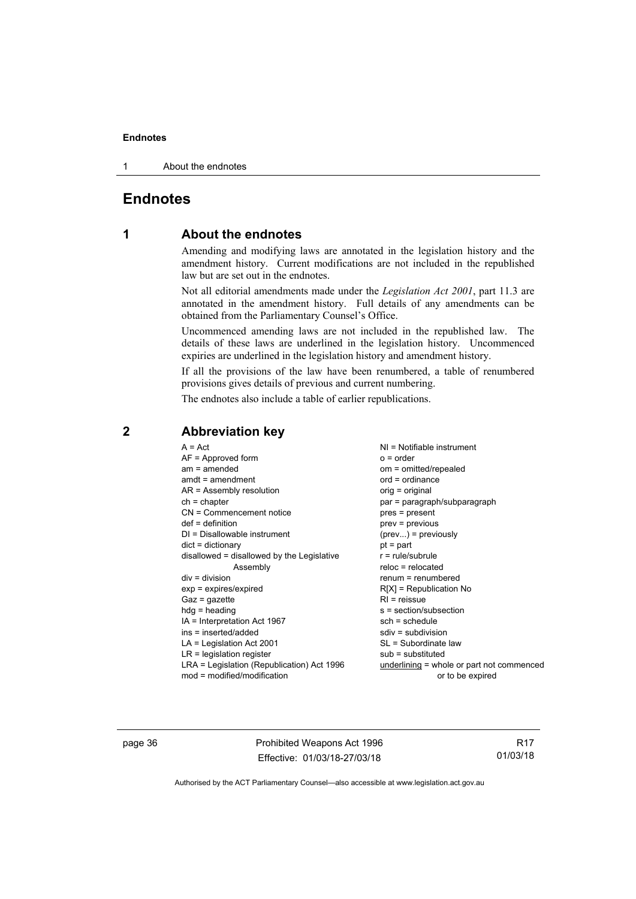1 About the endnotes

# <span id="page-41-0"></span>**Endnotes**

## **1 About the endnotes**

Amending and modifying laws are annotated in the legislation history and the amendment history. Current modifications are not included in the republished law but are set out in the endnotes.

Not all editorial amendments made under the *Legislation Act 2001*, part 11.3 are annotated in the amendment history. Full details of any amendments can be obtained from the Parliamentary Counsel's Office.

Uncommenced amending laws are not included in the republished law. The details of these laws are underlined in the legislation history. Uncommenced expiries are underlined in the legislation history and amendment history.

If all the provisions of the law have been renumbered, a table of renumbered provisions gives details of previous and current numbering.

The endnotes also include a table of earlier republications.

| $A = Act$                                  | $NI = Notifiable$ instrument              |
|--------------------------------------------|-------------------------------------------|
| $AF =$ Approved form                       | $o = order$                               |
| $am = amended$                             | om = omitted/repealed                     |
| $amdt = amendment$                         | $ord = ordinance$                         |
| $AR = Assembly resolution$                 | orig = original                           |
| $ch = chapter$                             | par = paragraph/subparagraph              |
| $CN =$ Commencement notice                 | pres = present                            |
| $def = definition$                         | $prev = previous$                         |
| $DI = Disallowable instrument$             | $(\text{prev})$ = previously              |
| $dict = dictionary$                        | $pt = part$                               |
| disallowed = disallowed by the Legislative | $r = rule/subrule$                        |
| Assembly                                   | $reloc = relocated$                       |
| $div = division$                           | $renum = renumbered$                      |
| $exp = expires/expired$                    | $R[X]$ = Republication No                 |
| $Gaz = qazette$                            | $R1$ = reissue                            |
| $h dq =$ heading                           | s = section/subsection                    |
| IA = Interpretation Act 1967               | $sch = schedule$                          |
| ins = inserted/added                       | $sdiv = subdivision$                      |
|                                            |                                           |
| $LA =$ Legislation Act 2001                | SL = Subordinate law                      |
| $LR =$ legislation register                | $sub =$ substituted                       |
| LRA = Legislation (Republication) Act 1996 | underlining = whole or part not commenced |
| $mod = modified/modification$              | or to be expired                          |

## <span id="page-41-2"></span>**2 Abbreviation key**

page 36 **Prohibited Weapons Act 1996** Effective: 01/03/18-27/03/18

R17 01/03/18

<span id="page-41-1"></span>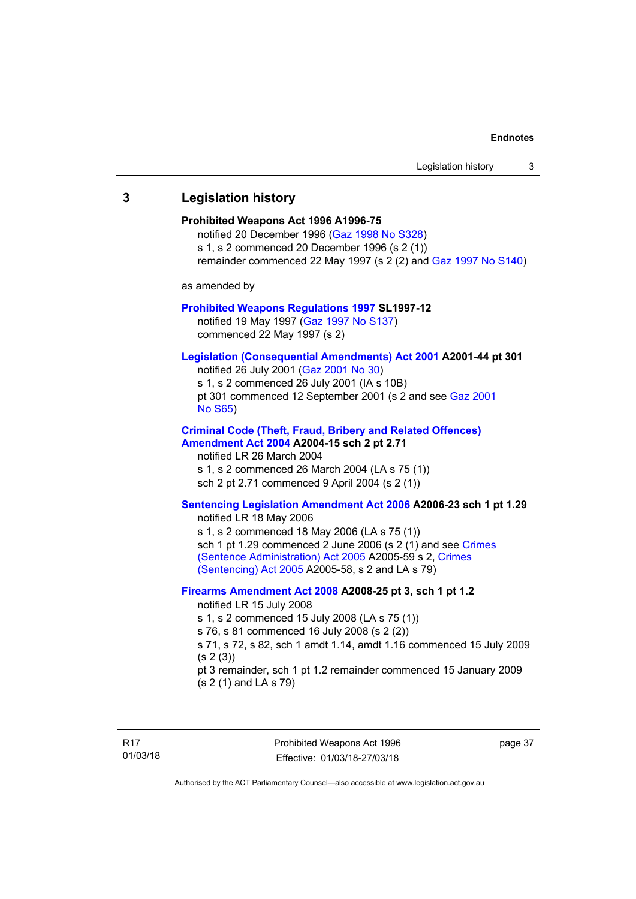# <span id="page-42-0"></span>**3 Legislation history Prohibited Weapons Act 1996 A1996-75**  notified 20 December 1996 [\(Gaz 1998 No S328](http://www.legislation.act.gov.au/gaz/1998-S328/default.asp)) s 1, s 2 commenced 20 December 1996 (s 2 (1)) remainder commenced 22 May 1997 (s 2 (2) and [Gaz 1997 No S140\)](http://www.legislation.act.gov.au/gaz/1997-S140/default.asp) as amended by **[Prohibited Weapons Regulations 1997](http://www.legislation.act.gov.au/sl/1997-12/default.asp) SL1997-12**  notified 19 May 1997 ([Gaz 1997 No S137](http://www.legislation.act.gov.au/gaz/1997-S137/default.asp)) commenced 22 May 1997 (s 2) **[Legislation \(Consequential Amendments\) Act 2001](http://www.legislation.act.gov.au/a/2001-44) A2001-44 pt 301**  notified 26 July 2001 ([Gaz 2001 No 30\)](http://www.legislation.act.gov.au/gaz/2001-30/default.asp) s 1, s 2 commenced 26 July 2001 (IA s 10B) pt 301 commenced 12 September 2001 (s 2 and see [Gaz 2001](http://www.legislation.act.gov.au/gaz/2001-S65/default.asp)  [No S65](http://www.legislation.act.gov.au/gaz/2001-S65/default.asp)) **[Criminal Code \(Theft, Fraud, Bribery and Related Offences\)](http://www.legislation.act.gov.au/a/2004-15/default.asp)  [Amendment Act 2004](http://www.legislation.act.gov.au/a/2004-15/default.asp) A2004-15 sch 2 pt 2.71**  notified LR 26 March 2004 s 1, s 2 commenced 26 March 2004 (LA s 75 (1)) sch 2 pt 2.71 commenced 9 April 2004 (s 2 (1)) **[Sentencing Legislation Amendment Act 2006](http://www.legislation.act.gov.au/a/2006-23) A2006-23 sch 1 pt 1.29**  notified LR 18 May 2006 s 1, s 2 commenced 18 May 2006 (LA s 75 (1)) sch 1 pt 1.29 commenced 2 June 2006 (s 2 (1) and see Crimes [\(Sentence Administration\) Act 2005](http://www.legislation.act.gov.au/a/2005-59) A2005-59 s 2, [Crimes](http://www.legislation.act.gov.au/a/2005-58)  [\(Sentencing\) Act 2005](http://www.legislation.act.gov.au/a/2005-58) A2005-58, s 2 and LA s 79) **[Firearms Amendment Act 2008](http://www.legislation.act.gov.au/a/2008-25) A2008-25 pt 3, sch 1 pt 1.2**  notified LR 15 July 2008 s 1, s 2 commenced 15 July 2008 (LA s 75 (1)) s 76, s 81 commenced 16 July 2008 (s 2 (2)) s 71, s 72, s 82, sch 1 amdt 1.14, amdt 1.16 commenced 15 July 2009  $(s 2(3))$ pt 3 remainder, sch 1 pt 1.2 remainder commenced 15 January 2009 (s 2 (1) and LA s 79)

Prohibited Weapons Act 1996 Effective: 01/03/18-27/03/18

page 37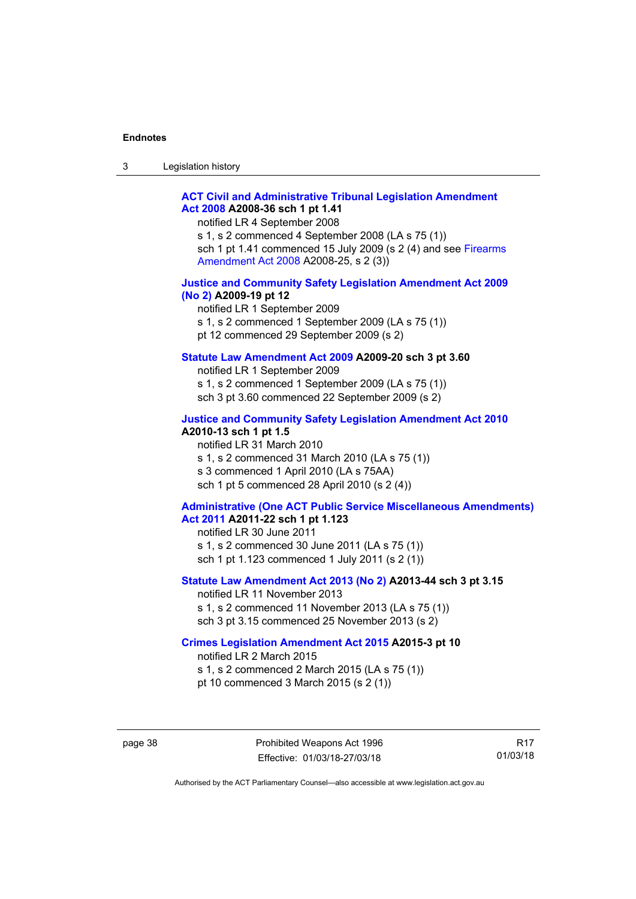| 3 | Legislation history |  |
|---|---------------------|--|
|---|---------------------|--|

### **[ACT Civil and Administrative Tribunal Legislation Amendment](http://www.legislation.act.gov.au/a/2008-36)  [Act 2008](http://www.legislation.act.gov.au/a/2008-36) A2008-36 sch 1 pt 1.41**

notified LR 4 September 2008

s 1, s 2 commenced 4 September 2008 (LA s 75 (1)) sch 1 pt 1.41 commenced 15 July 2009 (s 2 (4) and see [Firearms](http://www.legislation.act.gov.au/a/2008-25)  [Amendment Act 2008](http://www.legislation.act.gov.au/a/2008-25) A2008-25, s 2 (3))

### **[Justice and Community Safety Legislation Amendment Act 2009](http://www.legislation.act.gov.au/a/2009-19)  [\(No 2\)](http://www.legislation.act.gov.au/a/2009-19) A2009-19 pt 12**

notified LR 1 September 2009 s 1, s 2 commenced 1 September 2009 (LA s 75 (1)) pt 12 commenced 29 September 2009 (s 2)

### **[Statute Law Amendment Act 2009](http://www.legislation.act.gov.au/a/2009-20) A2009-20 sch 3 pt 3.60**

notified LR 1 September 2009 s 1, s 2 commenced 1 September 2009 (LA s 75 (1)) sch 3 pt 3.60 commenced 22 September 2009 (s 2)

### **[Justice and Community Safety Legislation Amendment Act 2010](http://www.legislation.act.gov.au/a/2010-13)**

**A2010-13 sch 1 pt 1.5**  notified LR 31 March 2010 s 1, s 2 commenced 31 March 2010 (LA s 75 (1)) s 3 commenced 1 April 2010 (LA s 75AA) sch 1 pt 5 commenced 28 April 2010 (s 2 (4))

### **[Administrative \(One ACT Public Service Miscellaneous Amendments\)](http://www.legislation.act.gov.au/a/2011-22)  [Act 2011](http://www.legislation.act.gov.au/a/2011-22) A2011-22 sch 1 pt 1.123**

notified LR 30 June 2011 s 1, s 2 commenced 30 June 2011 (LA s 75 (1)) sch 1 pt 1.123 commenced 1 July 2011 (s 2 (1))

#### **[Statute Law Amendment Act 2013 \(No 2\)](http://www.legislation.act.gov.au/a/2013-44) A2013-44 sch 3 pt 3.15**

notified LR 11 November 2013 s 1, s 2 commenced 11 November 2013 (LA s 75 (1)) sch 3 pt 3.15 commenced 25 November 2013 (s 2)

### **[Crimes Legislation Amendment Act 2015](http://www.legislation.act.gov.au/a/2015-3/default.asp) A2015-3 pt 10**

notified LR 2 March 2015

s 1, s 2 commenced 2 March 2015 (LA s 75 (1))

pt 10 commenced 3 March 2015 (s 2 (1))

R17 01/03/18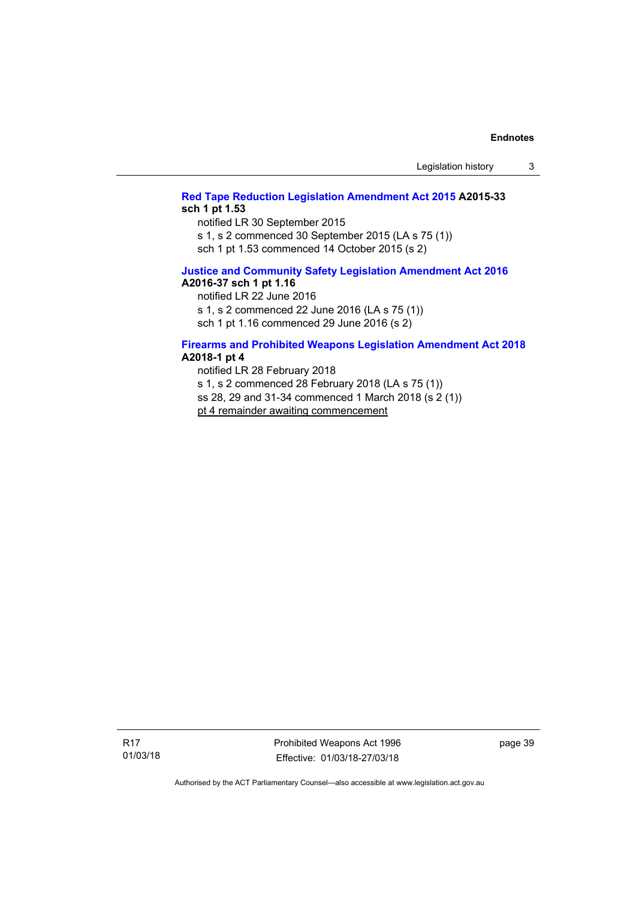### **[Red Tape Reduction Legislation Amendment Act 2015](http://www.legislation.act.gov.au/a/2015-33/default.asp) A2015-33 sch 1 pt 1.53**

notified LR 30 September 2015

s 1, s 2 commenced 30 September 2015 (LA s 75 (1))

sch 1 pt 1.53 commenced 14 October 2015 (s 2)

### **[Justice and Community Safety Legislation Amendment Act 2016](http://www.legislation.act.gov.au/a/2016-37) A2016-37 sch 1 pt 1.16**

notified LR 22 June 2016

s 1, s 2 commenced 22 June 2016 (LA s 75 (1))

sch 1 pt 1.16 commenced 29 June 2016 (s 2)

### **[Firearms and Prohibited Weapons Legislation Amendment Act 2018](http://www.legislation.act.gov.au/a/2018-1/default.asp) A2018-1 pt 4**

notified LR 28 February 2018 s 1, s 2 commenced 28 February 2018 (LA s 75 (1)) ss 28, 29 and 31-34 commenced 1 March 2018 (s 2 (1)) pt 4 remainder awaiting commencement

R17 01/03/18 Prohibited Weapons Act 1996 Effective: 01/03/18-27/03/18

page 39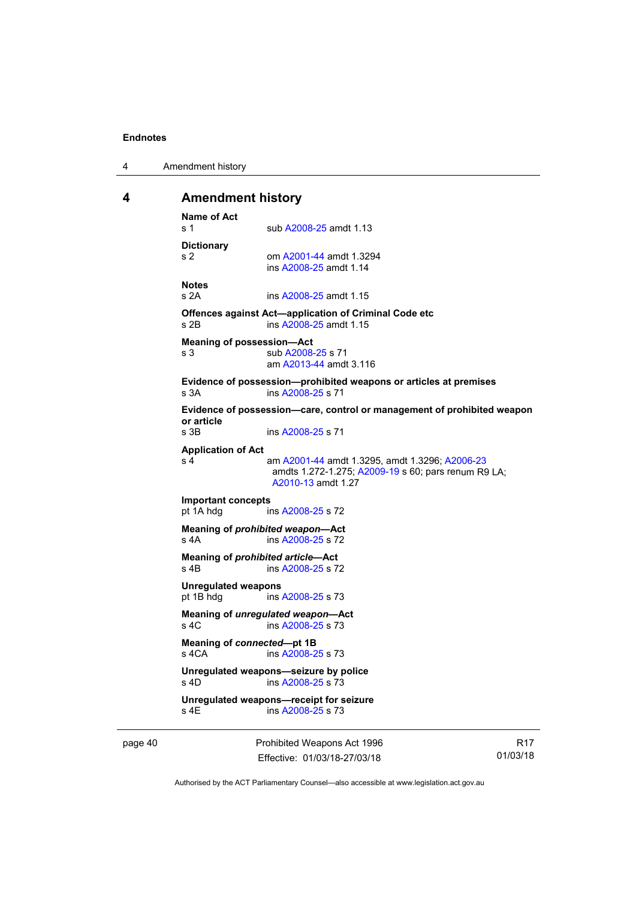4 Amendment history

### <span id="page-45-0"></span>**4 Amendment history**

```
Name of Act 
A2008-25 amdt 1.13
Dictionary 
s 2 om A2001-44 amdt 1.3294 
                ins A2008-25 amdt 1.14 
Notes 
s 2A ins A2008-25 amdt 1.15 
Offences against Act—application of Criminal Code etc 
s 2B ins A2008-25 amdt 1.15 
Meaning of possession—Act 
A2008-25 s 71
                am A2013-44 amdt 3.116
Evidence of possession—prohibited weapons or articles at premises 
s 3A ins A2008-25 s 71 
Evidence of possession—care, control or management of prohibited weapon 
or article 
                A2008-25 s 71
Application of Act 
s 4 am A2001-44 amdt 1.3295, amdt 1.3296; A2006-23
                amdts 1.272-1.275; A2009-19 s 60; pars renum R9 LA; 
                A2010-13 amdt 1.27 
Important concepts 
pt 1A hdg ins A2008-25 s 72 
Meaning of prohibited weapon—Act 
A2008-25 s 72
Meaning of prohibited article—Act 
A2008-25 s 72
Unregulated weapons 
pt 1B hdg ins A2008-25 s 73 
Meaning of unregulated weapon—Act 
s 4C ins A2008-25 s 73 
Meaning of connected—pt 1B 
s 4CA ins A2008-25 s 73 
Unregulated weapons—seizure by police 
s 4D ins A2008-25 s 73 
Unregulated weapons—receipt for seizure 
               A2008-25 s 73
```
page 40 Prohibited Weapons Act 1996 Effective: 01/03/18-27/03/18

R17 01/03/18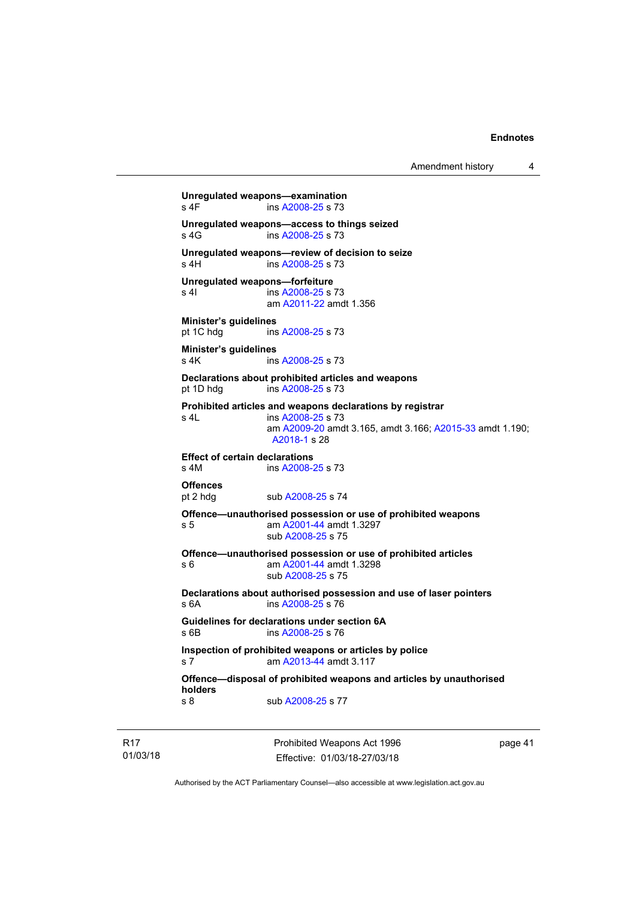Amendment history 4

```
Unregulated weapons—examination 
A2008-25 s 73
Unregulated weapons—access to things seized 
A2008-25 s 73
Unregulated weapons—review of decision to seize 
 A2008-25 s 73
Unregulated weapons—forfeiture 
A2008-25 s 73
                am A2011-22 amdt 1.356
Minister's guidelines 
 A2008-25 s 73
Minister's guidelines 
A2008-25 s 73
Declarations about prohibited articles and weapons 
pt 1D hdg ins A2008-25 s 73 
Prohibited articles and weapons declarations by registrar 
s 4L ins A2008-25 s 73 
                am A2009-20 amdt 3.165, amdt 3.166; A2015-33 amdt 1.190; 
                A2018-1 s 28 
Effect of certain declarations 
s 4M ins A2008-25 s 73 
Offences 
A2008-25 s 74
Offence—unauthorised possession or use of prohibited weapons 
s 5 am A2001-44 amdt 1.3297 
                sub A2008-25 s 75 
Offence—unauthorised possession or use of prohibited articles 
s 6 am A2001-44 amdt 1.3298 
                sub A2008-25 s 75 
Declarations about authorised possession and use of laser pointers 
                A2008-25 s 76
Guidelines for declarations under section 6A 
s 6B ins A2008-25 s 76 
Inspection of prohibited weapons or articles by police 
s 7 am A2013-44 amdt 3.117
Offence—disposal of prohibited weapons and articles by unauthorised 
holders 
A2008-25 s 77
```
R17 01/03/18 Prohibited Weapons Act 1996 Effective: 01/03/18-27/03/18

page 41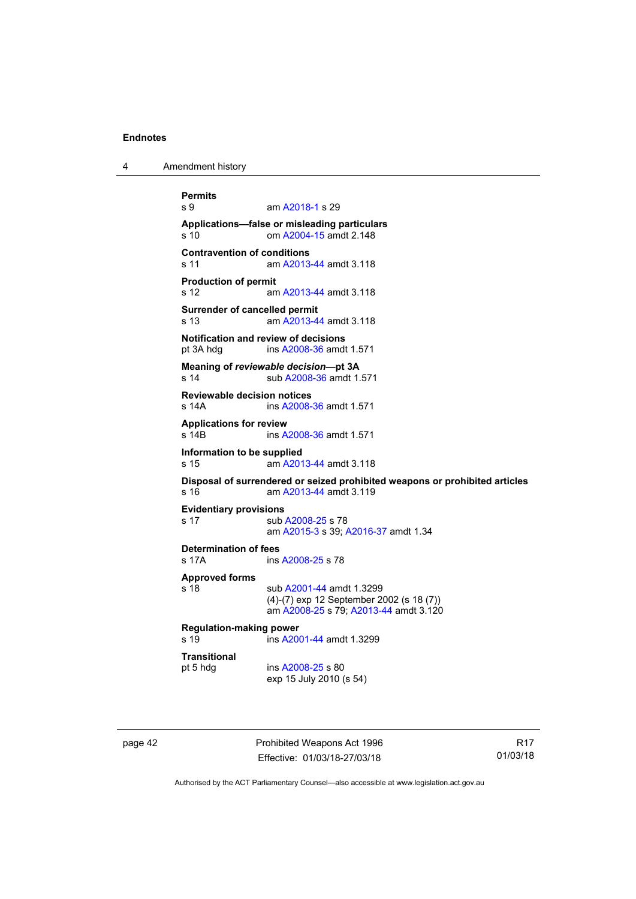4 Amendment history

```
Permits 
               A2018-1 s 29
Applications—false or misleading particulars 
s 10 om A2004-15 amdt 2.148
Contravention of conditions 
 A2013-44 amdt 3.118
Production of permit 
s 12 am A2013-44 amdt 3.118
Surrender of cancelled permit 
s 13 am A2013-44 amdt 3.118
Notification and review of decisions 
pt 3A hdg ins A2008-36 amdt 1.571 
Meaning of reviewable decision—pt 3A 
s 14 sub A2008-36 amdt 1.571 
Reviewable decision notices 
s 14A ins A2008-36 amdt 1.571 
Applications for review 
s 14B ins A2008-36 amdt 1.571 
Information to be supplied 
s 15 am A2013-44 amdt 3.118
Disposal of surrendered or seized prohibited weapons or prohibited articles 
s 16 am A2013-44 amdt 3.119
Evidentiary provisions 
A2008-25 s 78
                am A2015-3 s 39; A2016-37 amdt 1.34
Determination of fees 
s 17A ins A2008-25 s 78 
Approved forms 
A2001-44 amdt 1.3299
               (4)-(7) exp 12 September 2002 (s 18 (7)) 
                am A2008-25 s 79; A2013-44 amdt 3.120 
Regulation-making power 
               A2001-44 amdt 1.3299
Transitional 
pt 5 hdg ins A2008-25 s 80 
               exp 15 July 2010 (s 54)
```
page 42 **Prohibited Weapons Act 1996** Effective: 01/03/18-27/03/18

R17 01/03/18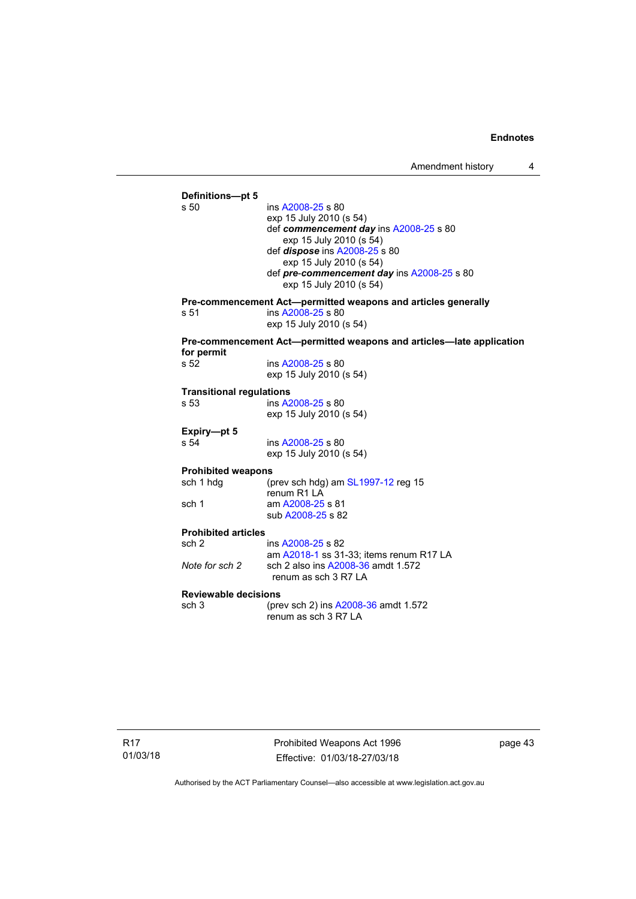**Definitions—pt 5**  ins [A2008-25](http://www.legislation.act.gov.au/a/2008-25) s 80 exp 15 July 2010 (s 54) def *commencement day* ins [A2008-25](http://www.legislation.act.gov.au/a/2008-25) s 80 exp 15 July 2010 (s 54) def *dispose* ins [A2008-25](http://www.legislation.act.gov.au/a/2008-25) s 80 exp 15 July 2010 (s 54) def *pre*-*commencement day* ins [A2008-25](http://www.legislation.act.gov.au/a/2008-25) s 80 exp 15 July 2010 (s 54) **Pre-commencement Act—permitted weapons and articles generally**  ins [A2008-25](http://www.legislation.act.gov.au/a/2008-25) s 80 exp 15 July 2010 (s 54) **Pre-commencement Act—permitted weapons and articles—late application for permit**  ins [A2008-25](http://www.legislation.act.gov.au/a/2008-25) s 80 exp 15 July 2010 (s 54) **Transitional regulations**  s 53 ins [A2008-25](http://www.legislation.act.gov.au/a/2008-25) s 80 exp 15 July 2010 (s 54) **Expiry—pt 5**  s 54 ins [A2008-25](http://www.legislation.act.gov.au/a/2008-25) s 80 exp 15 July 2010 (s 54) **Prohibited weapons**  sch 1 hdg (prev sch hdg) am [SL1997-12](http://www.legislation.act.gov.au/sl/1997-12) reg 15 renum R1 LA sch 1 am [A2008-25](http://www.legislation.act.gov.au/a/2008-25) s 81 sub [A2008-25](http://www.legislation.act.gov.au/a/2008-25) s 82 **Prohibited articles**  ins [A2008-25](http://www.legislation.act.gov.au/a/2008-25) s 82 am [A2018-1](http://www.legislation.act.gov.au/a/2018-1/default.asp) ss 31-33; items renum R17 LA<br>Note for sch 2 sch 2 also ins A2008-36 amdt 1.572 *Note for sch 2* sch 2 also ins [A2008-36](http://www.legislation.act.gov.au/a/2008-36) amdt 1.572 renum as sch 3 R7 LA **Reviewable decisions**  sch 3 (prev sch 2) ins [A2008-36](http://www.legislation.act.gov.au/a/2008-36) amdt 1.572 renum as sch 3 R7 LA

R17 01/03/18 Prohibited Weapons Act 1996 Effective: 01/03/18-27/03/18

page 43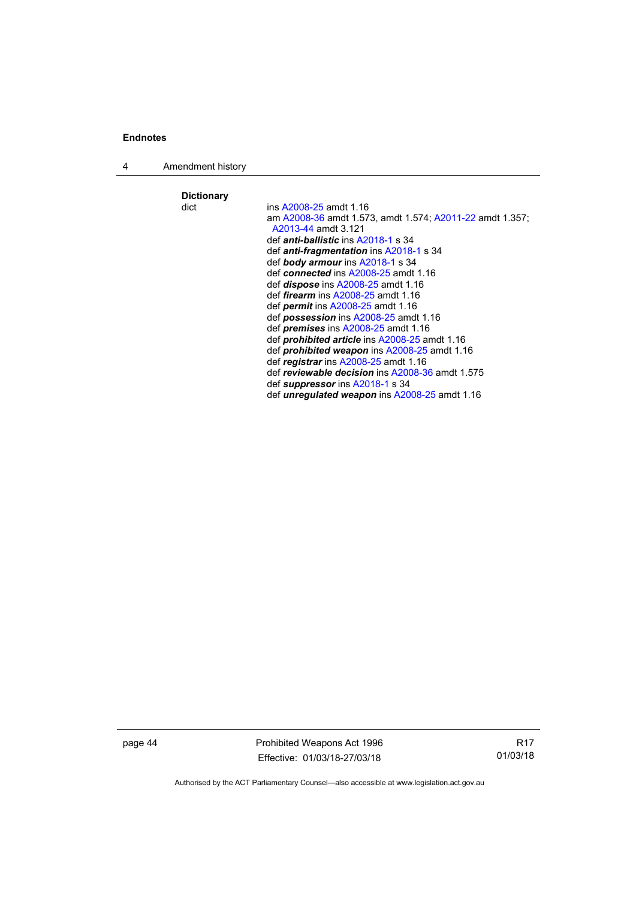4 Amendment history

**Dictionary**  ins [A2008-25](http://www.legislation.act.gov.au/a/2008-25) amdt 1.16 am [A2008-36](http://www.legislation.act.gov.au/a/2008-36) amdt 1.573, amdt 1.574; [A2011-22](http://www.legislation.act.gov.au/a/2011-22) amdt 1.357; [A2013-44](http://www.legislation.act.gov.au/a/2013-44) amdt 3.121 def *anti-ballistic* ins [A2018-1](http://www.legislation.act.gov.au/a/2018-1/default.asp) s 34 def *anti-fragmentation* ins [A2018-1](http://www.legislation.act.gov.au/a/2018-1/default.asp) s 34 def *body armour* ins [A2018-1](http://www.legislation.act.gov.au/a/2018-1/default.asp) s 34 def *connected* ins [A2008-25](http://www.legislation.act.gov.au/a/2008-25) amdt 1.16 def *dispose* ins [A2008-25](http://www.legislation.act.gov.au/a/2008-25) amdt 1.16 def *firearm* ins [A2008-25](http://www.legislation.act.gov.au/a/2008-25) amdt 1.16 def *permit* ins [A2008-25](http://www.legislation.act.gov.au/a/2008-25) amdt 1.16 def *possession* ins [A2008-25](http://www.legislation.act.gov.au/a/2008-25) amdt 1.16 def *premises* ins [A2008-25](http://www.legislation.act.gov.au/a/2008-25) amdt 1.16 def *prohibited article* ins [A2008-25](http://www.legislation.act.gov.au/a/2008-25) amdt 1.16 def *prohibited weapon* ins [A2008-25](http://www.legislation.act.gov.au/a/2008-25) amdt 1.16 def *registrar* ins [A2008-25](http://www.legislation.act.gov.au/a/2008-25) amdt 1.16 def *reviewable decision* ins [A2008-36](http://www.legislation.act.gov.au/a/2008-36) amdt 1.575 def *suppressor* ins [A2018-1](http://www.legislation.act.gov.au/a/2018-1/default.asp) s 34 def *unregulated weapon* ins [A2008-25](http://www.legislation.act.gov.au/a/2008-25) amdt 1.16

page 44 Prohibited Weapons Act 1996 Effective: 01/03/18-27/03/18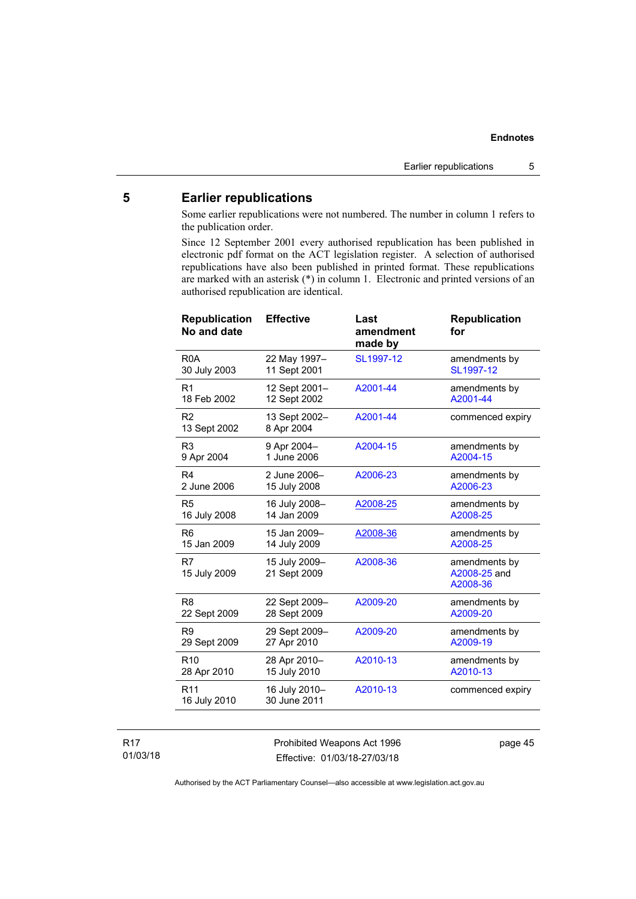## <span id="page-50-0"></span>**5 Earlier republications**

Some earlier republications were not numbered. The number in column 1 refers to the publication order.

Since 12 September 2001 every authorised republication has been published in electronic pdf format on the ACT legislation register. A selection of authorised republications have also been published in printed format. These republications are marked with an asterisk (\*) in column 1. Electronic and printed versions of an authorised republication are identical.

| <b>Effective</b>              | Last<br>amendment<br>made by | <b>Republication</b><br>for               |
|-------------------------------|------------------------------|-------------------------------------------|
| 22 May 1997-<br>11 Sept 2001  | SL1997-12                    | amendments by<br>SL1997-12                |
| 12 Sept 2001-<br>12 Sept 2002 | A2001-44                     | amendments by<br>A2001-44                 |
| 13 Sept 2002-<br>8 Apr 2004   | A2001-44                     | commenced expiry                          |
| 9 Apr 2004-<br>1 June 2006    | A2004-15                     | amendments by<br>A2004-15                 |
| 2 June 2006-<br>15 July 2008  | A2006-23                     | amendments by<br>A2006-23                 |
| 16 July 2008-<br>14 Jan 2009  | A2008-25                     | amendments by<br>A2008-25                 |
| 15 Jan 2009-<br>14 July 2009  | A2008-36                     | amendments by<br>A2008-25                 |
| 15 July 2009-<br>21 Sept 2009 | A2008-36                     | amendments by<br>A2008-25 and<br>A2008-36 |
| 22 Sept 2009-<br>28 Sept 2009 | A2009-20                     | amendments by<br>A2009-20                 |
| 29 Sept 2009-<br>27 Apr 2010  | A2009-20                     | amendments by<br>A2009-19                 |
| 28 Apr 2010-<br>15 July 2010  | A2010-13                     | amendments by<br>A2010-13                 |
| 16 July 2010-<br>30 June 2011 | A2010-13                     | commenced expiry                          |
|                               |                              |                                           |

### R17 01/03/18

Prohibited Weapons Act 1996 Effective: 01/03/18-27/03/18

page 45